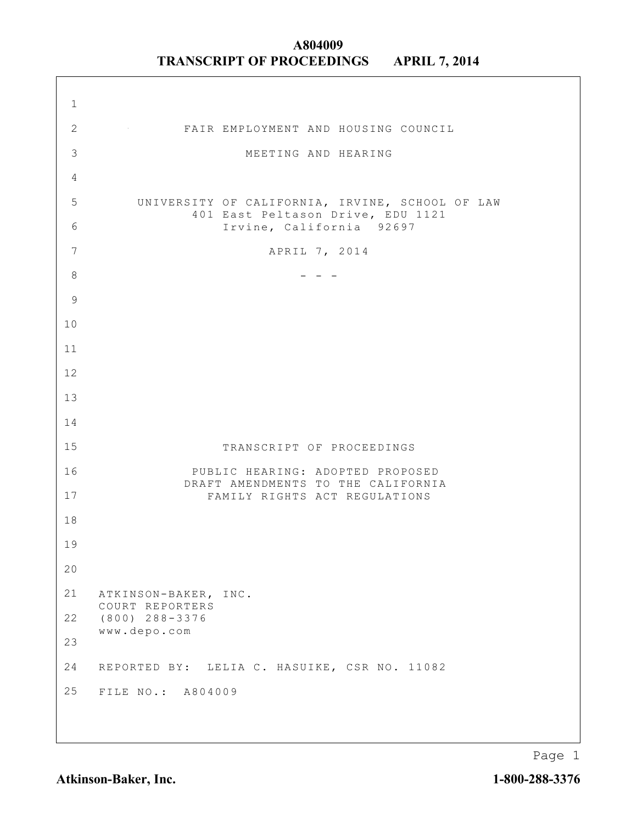| $\mathbf 1$    |                                                                                      |
|----------------|--------------------------------------------------------------------------------------|
| $\overline{2}$ | FAIR EMPLOYMENT AND HOUSING COUNCIL                                                  |
| 3              | MEETING AND HEARING                                                                  |
| $\overline{4}$ |                                                                                      |
| 5              | UNIVERSITY OF CALIFORNIA, IRVINE, SCHOOL OF LAW<br>401 East Peltason Drive, EDU 1121 |
| 6              | Irvine, California 92697                                                             |
| $\overline{7}$ | APRIL 7, 2014                                                                        |
| $\,8\,$        |                                                                                      |
| $\mathsf 9$    |                                                                                      |
| 10             |                                                                                      |
| 11             |                                                                                      |
| 12             |                                                                                      |
| 13             |                                                                                      |
| 14             |                                                                                      |
| 15             | TRANSCRIPT OF PROCEEDINGS                                                            |
| 16             | PUBLIC HEARING: ADOPTED PROPOSED<br>DRAFT AMENDMENTS TO THE CALIFORNIA               |
| 17             | FAMILY RIGHTS ACT REGULATIONS                                                        |
| 18             |                                                                                      |
| 19             |                                                                                      |
| 20             |                                                                                      |
| 21             | ATKINSON-BAKER, INC.<br>COURT REPORTERS                                              |
| 22             | $(800)$ $288 - 3376$<br>www.depo.com                                                 |
| 23             |                                                                                      |
| 24             | REPORTED BY: LELIA C. HASUIKE, CSR NO. 11082                                         |
| 25             | FILE NO.: A804009                                                                    |
|                |                                                                                      |

Page 1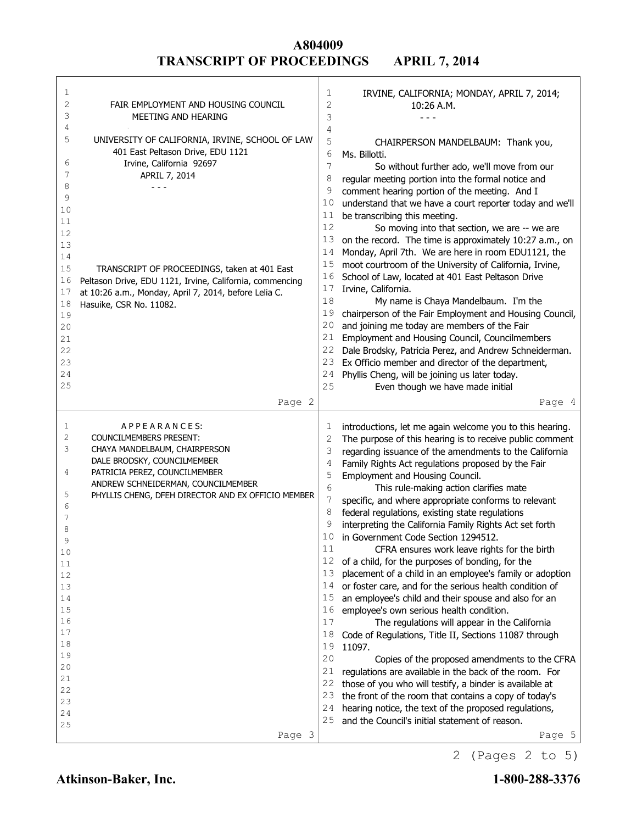| 1<br>2<br>3<br>4<br>5<br>6<br>7<br>8<br>9<br>10<br>11<br>12<br>13<br>14<br>15<br>16 | FAIR EMPLOYMENT AND HOUSING COUNCIL<br>MEETING AND HEARING<br>UNIVERSITY OF CALIFORNIA, IRVINE, SCHOOL OF LAW<br>401 East Peltason Drive, EDU 1121<br>Irvine, California 92697<br>APRIL 7, 2014<br>- - -<br>TRANSCRIPT OF PROCEEDINGS, taken at 401 East<br>Peltason Drive, EDU 1121, Irvine, California, commencing | 1<br>2<br>3<br>4<br>5<br>6<br>7<br>8<br>9<br>10<br>11<br>12<br>13<br>14<br>15<br>16<br>17 | IRVINE, CALIFORNIA; MONDAY, APRIL 7, 2014;<br>10:26 A.M.<br>- - -<br>CHAIRPERSON MANDELBAUM: Thank you,<br>Ms. Billotti.<br>So without further ado, we'll move from our<br>regular meeting portion into the formal notice and<br>comment hearing portion of the meeting. And I<br>understand that we have a court reporter today and we'll<br>be transcribing this meeting.<br>So moving into that section, we are -- we are<br>on the record. The time is approximately 10:27 a.m., on<br>Monday, April 7th. We are here in room EDU1121, the<br>moot courtroom of the University of California, Irvine,<br>School of Law, located at 401 East Peltason Drive<br>Irvine, California. |
|-------------------------------------------------------------------------------------|----------------------------------------------------------------------------------------------------------------------------------------------------------------------------------------------------------------------------------------------------------------------------------------------------------------------|-------------------------------------------------------------------------------------------|---------------------------------------------------------------------------------------------------------------------------------------------------------------------------------------------------------------------------------------------------------------------------------------------------------------------------------------------------------------------------------------------------------------------------------------------------------------------------------------------------------------------------------------------------------------------------------------------------------------------------------------------------------------------------------------|
| 17<br>18<br>19<br>20<br>21<br>22<br>23<br>24<br>25                                  | at 10:26 a.m., Monday, April 7, 2014, before Lelia C.<br>Hasuike, CSR No. 11082.<br>Page 2                                                                                                                                                                                                                           | 18<br>19<br>20<br>21<br>22<br>23<br>24<br>25                                              | My name is Chaya Mandelbaum. I'm the<br>chairperson of the Fair Employment and Housing Council,<br>and joining me today are members of the Fair<br>Employment and Housing Council, Councilmembers<br>Dale Brodsky, Patricia Perez, and Andrew Schneiderman.<br>Ex Officio member and director of the department,<br>Phyllis Cheng, will be joining us later today.<br>Even though we have made initial<br>Page 4                                                                                                                                                                                                                                                                      |
| 1                                                                                   | APPEARANCES:                                                                                                                                                                                                                                                                                                         | 1                                                                                         | introductions, let me again welcome you to this hearing.                                                                                                                                                                                                                                                                                                                                                                                                                                                                                                                                                                                                                              |
| 2                                                                                   | COUNCILMEMBERS PRESENT:                                                                                                                                                                                                                                                                                              | 2                                                                                         | The purpose of this hearing is to receive public comment                                                                                                                                                                                                                                                                                                                                                                                                                                                                                                                                                                                                                              |
| 3                                                                                   | CHAYA MANDELBAUM, CHAIRPERSON                                                                                                                                                                                                                                                                                        | 3                                                                                         | regarding issuance of the amendments to the California                                                                                                                                                                                                                                                                                                                                                                                                                                                                                                                                                                                                                                |
| 4                                                                                   | DALE BRODSKY, COUNCILMEMBER<br>PATRICIA PEREZ, COUNCILMEMBER                                                                                                                                                                                                                                                         | 4                                                                                         | Family Rights Act regulations proposed by the Fair                                                                                                                                                                                                                                                                                                                                                                                                                                                                                                                                                                                                                                    |
|                                                                                     | ANDREW SCHNEIDERMAN, COUNCILMEMBER                                                                                                                                                                                                                                                                                   | 5<br>6                                                                                    | Employment and Housing Council.<br>This rule-making action clarifies mate                                                                                                                                                                                                                                                                                                                                                                                                                                                                                                                                                                                                             |
| 5                                                                                   | PHYLLIS CHENG, DFEH DIRECTOR AND EX OFFICIO MEMBER                                                                                                                                                                                                                                                                   | 7                                                                                         | specific, and where appropriate conforms to relevant                                                                                                                                                                                                                                                                                                                                                                                                                                                                                                                                                                                                                                  |
| 6                                                                                   |                                                                                                                                                                                                                                                                                                                      | 8                                                                                         | federal regulations, existing state regulations                                                                                                                                                                                                                                                                                                                                                                                                                                                                                                                                                                                                                                       |
| 7                                                                                   |                                                                                                                                                                                                                                                                                                                      | 9                                                                                         | interpreting the California Family Rights Act set forth                                                                                                                                                                                                                                                                                                                                                                                                                                                                                                                                                                                                                               |
| 8<br>9                                                                              |                                                                                                                                                                                                                                                                                                                      |                                                                                           |                                                                                                                                                                                                                                                                                                                                                                                                                                                                                                                                                                                                                                                                                       |
| 10                                                                                  |                                                                                                                                                                                                                                                                                                                      | 10                                                                                        | in Government Code Section 1294512.                                                                                                                                                                                                                                                                                                                                                                                                                                                                                                                                                                                                                                                   |
|                                                                                     |                                                                                                                                                                                                                                                                                                                      | 11                                                                                        | CFRA ensures work leave rights for the birth                                                                                                                                                                                                                                                                                                                                                                                                                                                                                                                                                                                                                                          |
| 11                                                                                  |                                                                                                                                                                                                                                                                                                                      |                                                                                           | 12 of a child, for the purposes of bonding, for the                                                                                                                                                                                                                                                                                                                                                                                                                                                                                                                                                                                                                                   |
| 12                                                                                  |                                                                                                                                                                                                                                                                                                                      | 13                                                                                        | placement of a child in an employee's family or adoption                                                                                                                                                                                                                                                                                                                                                                                                                                                                                                                                                                                                                              |
| 13                                                                                  |                                                                                                                                                                                                                                                                                                                      | 14                                                                                        | or foster care, and for the serious health condition of                                                                                                                                                                                                                                                                                                                                                                                                                                                                                                                                                                                                                               |
| 14                                                                                  |                                                                                                                                                                                                                                                                                                                      | 15                                                                                        | an employee's child and their spouse and also for an                                                                                                                                                                                                                                                                                                                                                                                                                                                                                                                                                                                                                                  |
| 15                                                                                  |                                                                                                                                                                                                                                                                                                                      | 16                                                                                        | employee's own serious health condition.                                                                                                                                                                                                                                                                                                                                                                                                                                                                                                                                                                                                                                              |
| 16<br>17                                                                            |                                                                                                                                                                                                                                                                                                                      | 17                                                                                        | The regulations will appear in the California                                                                                                                                                                                                                                                                                                                                                                                                                                                                                                                                                                                                                                         |
| 18                                                                                  |                                                                                                                                                                                                                                                                                                                      | 18<br>19                                                                                  | Code of Regulations, Title II, Sections 11087 through                                                                                                                                                                                                                                                                                                                                                                                                                                                                                                                                                                                                                                 |
| 19                                                                                  |                                                                                                                                                                                                                                                                                                                      | 20                                                                                        | 11097.                                                                                                                                                                                                                                                                                                                                                                                                                                                                                                                                                                                                                                                                                |
| 20                                                                                  |                                                                                                                                                                                                                                                                                                                      | 21                                                                                        | Copies of the proposed amendments to the CFRA<br>regulations are available in the back of the room. For                                                                                                                                                                                                                                                                                                                                                                                                                                                                                                                                                                               |
| 21                                                                                  |                                                                                                                                                                                                                                                                                                                      | 22                                                                                        | those of you who will testify, a binder is available at                                                                                                                                                                                                                                                                                                                                                                                                                                                                                                                                                                                                                               |
| 22                                                                                  |                                                                                                                                                                                                                                                                                                                      | 23                                                                                        | the front of the room that contains a copy of today's                                                                                                                                                                                                                                                                                                                                                                                                                                                                                                                                                                                                                                 |
| 23<br>24                                                                            |                                                                                                                                                                                                                                                                                                                      | 24                                                                                        | hearing notice, the text of the proposed regulations,                                                                                                                                                                                                                                                                                                                                                                                                                                                                                                                                                                                                                                 |
| 25                                                                                  |                                                                                                                                                                                                                                                                                                                      | 25                                                                                        | and the Council's initial statement of reason.                                                                                                                                                                                                                                                                                                                                                                                                                                                                                                                                                                                                                                        |

┑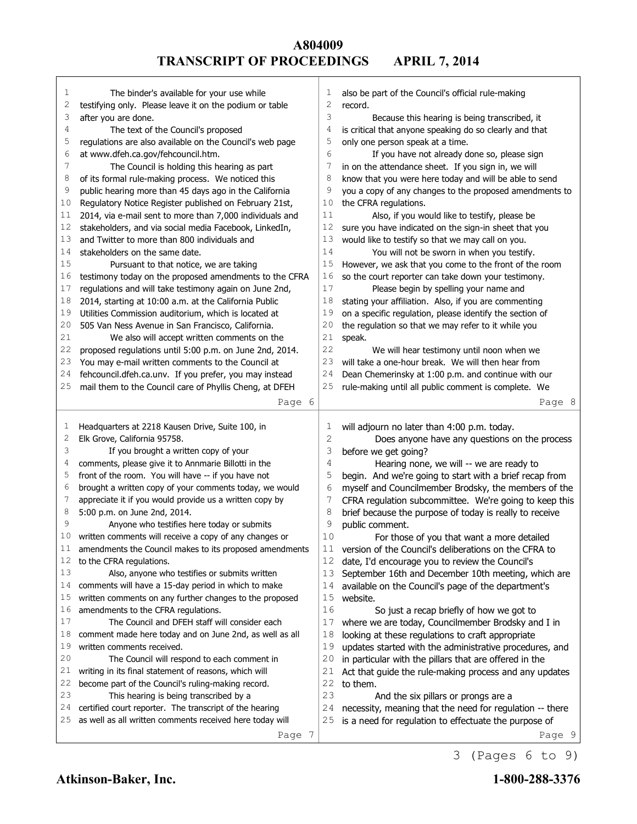| 1            | The binder's available for your use while                                                                         | 1  | also be part of the Council's official rule-making              |
|--------------|-------------------------------------------------------------------------------------------------------------------|----|-----------------------------------------------------------------|
| 2            | testifying only. Please leave it on the podium or table                                                           | 2  | record.                                                         |
| 3            | after you are done.                                                                                               | 3  | Because this hearing is being transcribed, it                   |
| 4            | The text of the Council's proposed                                                                                | 4  | is critical that anyone speaking do so clearly and that         |
| 5            | regulations are also available on the Council's web page                                                          | 5  | only one person speak at a time.                                |
| 6            | at www.dfeh.ca.gov/fehcouncil.htm.                                                                                | 6  | If you have not already done so, please sign                    |
| 7            | The Council is holding this hearing as part                                                                       | 7  | in on the attendance sheet. If you sign in, we will             |
| 8            | of its formal rule-making process. We noticed this                                                                | 8  | know that you were here today and will be able to send          |
| 9            | public hearing more than 45 days ago in the California                                                            | 9  | you a copy of any changes to the proposed amendments to         |
| 10           | Regulatory Notice Register published on February 21st,                                                            | 10 | the CFRA regulations.                                           |
| 11           | 2014, via e-mail sent to more than 7,000 individuals and                                                          | 11 | Also, if you would like to testify, please be                   |
| 12           | stakeholders, and via social media Facebook, LinkedIn,                                                            | 12 | sure you have indicated on the sign-in sheet that you           |
| 13           | and Twitter to more than 800 individuals and                                                                      | 13 | would like to testify so that we may call on you.               |
| 14           | stakeholders on the same date.                                                                                    | 14 | You will not be sworn in when you testify.                      |
| 15           | Pursuant to that notice, we are taking                                                                            | 15 | However, we ask that you come to the front of the room          |
| 16           | testimony today on the proposed amendments to the CFRA                                                            | 16 | so the court reporter can take down your testimony.             |
| 17           | regulations and will take testimony again on June 2nd,                                                            | 17 | Please begin by spelling your name and                          |
| 18           | 2014, starting at 10:00 a.m. at the California Public                                                             | 18 | stating your affiliation. Also, if you are commenting           |
| 19           | Utilities Commission auditorium, which is located at                                                              | 19 | on a specific regulation, please identify the section of        |
| 20           | 505 Van Ness Avenue in San Francisco, California.                                                                 | 20 | the regulation so that we may refer to it while you             |
| 21           | We also will accept written comments on the                                                                       | 21 | speak.                                                          |
| 22           | proposed regulations until 5:00 p.m. on June 2nd, 2014.                                                           | 22 | We will hear testimony until noon when we                       |
| 23           | You may e-mail written comments to the Council at                                                                 | 23 | will take a one-hour break. We will then hear from              |
| 24           | fehcouncil.dfeh.ca.unv. If you prefer, you may instead                                                            | 24 | Dean Chemerinsky at 1:00 p.m. and continue with our             |
| 25           | mail them to the Council care of Phyllis Cheng, at DFEH                                                           | 25 | rule-making until all public comment is complete. We            |
|              | Page 6                                                                                                            |    | Page 8                                                          |
|              |                                                                                                                   |    |                                                                 |
|              |                                                                                                                   |    |                                                                 |
| 1            |                                                                                                                   | 1  |                                                                 |
| $\mathbf{2}$ | Headquarters at 2218 Kausen Drive, Suite 100, in<br>Elk Grove, California 95758.                                  | 2  | will adjourn no later than 4:00 p.m. today.                     |
| 3            | If you brought a written copy of your                                                                             | 3  | Does anyone have any questions on the process                   |
| 4            |                                                                                                                   | 4  | before we get going?                                            |
| 5            | comments, please give it to Annmarie Billotti in the                                                              | 5  | Hearing none, we will -- we are ready to                        |
| 6            | front of the room. You will have -- if you have not                                                               | 6  | begin. And we're going to start with a brief recap from         |
| 7            | brought a written copy of your comments today, we would                                                           | 7  | myself and Councilmember Brodsky, the members of the            |
| 8            | appreciate it if you would provide us a written copy by                                                           | 8  | CFRA regulation subcommittee. We're going to keep this          |
| 9            | 5:00 p.m. on June 2nd, 2014.                                                                                      | 9  | brief because the purpose of today is really to receive         |
| 10           | Anyone who testifies here today or submits                                                                        | 10 | public comment.                                                 |
| TT           | written comments will receive a copy of any changes or<br>amendments the Council makes to its proposed amendments | 11 | For those of you that want a more detailed                      |
| 12           |                                                                                                                   | 12 | version of the Council's deliberations on the CFRA to           |
| 13           | to the CFRA regulations.                                                                                          | 13 | date, I'd encourage you to review the Council's                 |
| 14           | Also, anyone who testifies or submits written                                                                     | 14 | September 16th and December 10th meeting, which are             |
| 15           | comments will have a 15-day period in which to make                                                               | 15 | available on the Council's page of the department's             |
| 16           | written comments on any further changes to the proposed                                                           |    | website.                                                        |
| 17           | amendments to the CFRA regulations.<br>The Council and DFEH staff will consider each                              | 16 | So just a recap briefly of how we got to                        |
| 18           |                                                                                                                   | 17 | where we are today, Councilmember Brodsky and I in              |
| 19           | comment made here today and on June 2nd, as well as all<br>written comments received.                             | 18 | looking at these regulations to craft appropriate               |
|              |                                                                                                                   | 19 | updates started with the administrative procedures, and         |
| 20           | The Council will respond to each comment in                                                                       | 20 | in particular with the pillars that are offered in the          |
| 21           | writing in its final statement of reasons, which will                                                             | 21 | Act that guide the rule-making process and any updates          |
| 22           | become part of the Council's ruling-making record.                                                                | 22 | to them.                                                        |
| 23           | This hearing is being transcribed by a                                                                            | 23 | And the six pillars or prongs are a                             |
| 24           | certified court reporter. The transcript of the hearing                                                           | 24 | necessity, meaning that the need for regulation -- there        |
| 25           | as well as all written comments received here today will<br>Page 7                                                | 25 | is a need for regulation to effectuate the purpose of<br>Page 9 |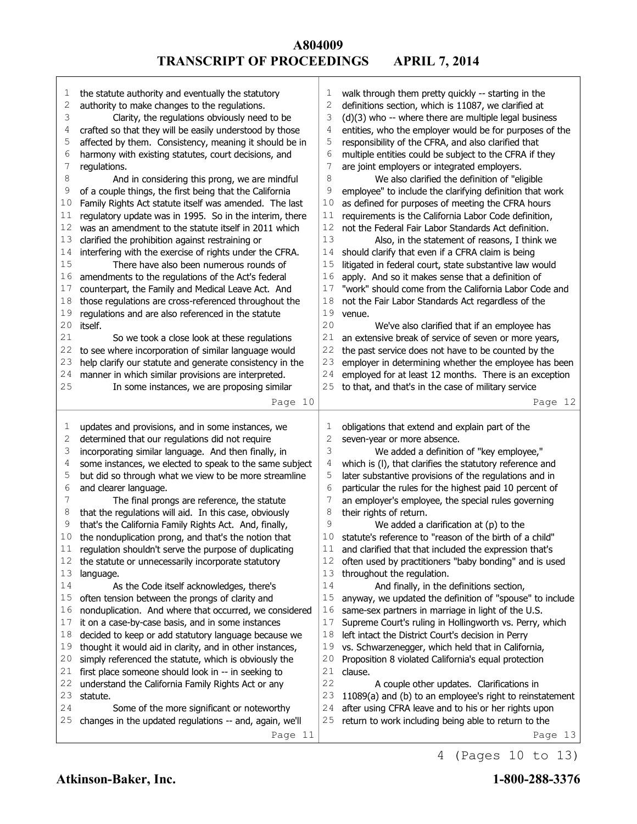| 1<br>2<br>3<br>4<br>5<br>6<br>7<br>8<br>9<br>10<br>11<br>12<br>13<br>14<br>15<br>16<br>17<br>18<br>19<br>20<br>21<br>22<br>23<br>24<br>25 | the statute authority and eventually the statutory<br>authority to make changes to the regulations.<br>Clarity, the regulations obviously need to be<br>crafted so that they will be easily understood by those<br>affected by them. Consistency, meaning it should be in<br>harmony with existing statutes, court decisions, and<br>regulations.<br>And in considering this prong, we are mindful<br>of a couple things, the first being that the California<br>Family Rights Act statute itself was amended. The last<br>regulatory update was in 1995. So in the interim, there<br>was an amendment to the statute itself in 2011 which<br>clarified the prohibition against restraining or<br>interfering with the exercise of rights under the CFRA.<br>There have also been numerous rounds of<br>amendments to the regulations of the Act's federal<br>counterpart, the Family and Medical Leave Act. And<br>those regulations are cross-referenced throughout the<br>regulations and are also referenced in the statute<br>itself.<br>So we took a close look at these regulations<br>to see where incorporation of similar language would<br>help clarify our statute and generate consistency in the<br>manner in which similar provisions are interpreted.<br>In some instances, we are proposing similar<br>Page 10 | 1<br>2<br>3<br>4<br>5<br>6<br>7<br>8<br>9<br>10<br>11<br>12<br>13<br>14<br>15<br>16<br>17<br>18<br>19<br>20<br>21<br>22<br>23<br>24<br>25 | walk through them pretty quickly -- starting in the<br>definitions section, which is 11087, we clarified at<br>(d)(3) who -- where there are multiple legal business<br>entities, who the employer would be for purposes of the<br>responsibility of the CFRA, and also clarified that<br>multiple entities could be subject to the CFRA if they<br>are joint employers or integrated employers.<br>We also clarified the definition of "eligible<br>employee" to include the clarifying definition that work<br>as defined for purposes of meeting the CFRA hours<br>requirements is the California Labor Code definition,<br>not the Federal Fair Labor Standards Act definition.<br>Also, in the statement of reasons, I think we<br>should clarify that even if a CFRA claim is being<br>litigated in federal court, state substantive law would<br>apply. And so it makes sense that a definition of<br>"work" should come from the California Labor Code and<br>not the Fair Labor Standards Act regardless of the<br>venue.<br>We've also clarified that if an employee has<br>an extensive break of service of seven or more years,<br>the past service does not have to be counted by the<br>employer in determining whether the employee has been<br>employed for at least 12 months. There is an exception<br>to that, and that's in the case of military service<br>Page 12 |
|-------------------------------------------------------------------------------------------------------------------------------------------|---------------------------------------------------------------------------------------------------------------------------------------------------------------------------------------------------------------------------------------------------------------------------------------------------------------------------------------------------------------------------------------------------------------------------------------------------------------------------------------------------------------------------------------------------------------------------------------------------------------------------------------------------------------------------------------------------------------------------------------------------------------------------------------------------------------------------------------------------------------------------------------------------------------------------------------------------------------------------------------------------------------------------------------------------------------------------------------------------------------------------------------------------------------------------------------------------------------------------------------------------------------------------------------------------------------------------------|-------------------------------------------------------------------------------------------------------------------------------------------|-----------------------------------------------------------------------------------------------------------------------------------------------------------------------------------------------------------------------------------------------------------------------------------------------------------------------------------------------------------------------------------------------------------------------------------------------------------------------------------------------------------------------------------------------------------------------------------------------------------------------------------------------------------------------------------------------------------------------------------------------------------------------------------------------------------------------------------------------------------------------------------------------------------------------------------------------------------------------------------------------------------------------------------------------------------------------------------------------------------------------------------------------------------------------------------------------------------------------------------------------------------------------------------------------------------------------------------------------------------------------------------------|
| 1<br>2<br>3<br>4<br>5<br>6<br>7<br>8<br>9<br>10<br>11<br>12<br>13<br>14<br>15<br>16<br>17<br>18<br>19<br>20<br>21<br>22<br>23<br>24<br>25 | updates and provisions, and in some instances, we<br>determined that our regulations did not require<br>incorporating similar language. And then finally, in<br>some instances, we elected to speak to the same subject<br>but did so through what we view to be more streamline<br>and clearer language.<br>The final prongs are reference, the statute<br>that the regulations will aid. In this case, obviously<br>that's the California Family Rights Act. And, finally,<br>the nonduplication prong, and that's the notion that<br>regulation shouldn't serve the purpose of duplicating<br>the statute or unnecessarily incorporate statutory<br>language.<br>As the Code itself acknowledges, there's<br>often tension between the prongs of clarity and<br>nonduplication. And where that occurred, we considered<br>it on a case-by-case basis, and in some instances<br>decided to keep or add statutory language because we<br>thought it would aid in clarity, and in other instances,<br>simply referenced the statute, which is obviously the<br>first place someone should look in -- in seeking to<br>understand the California Family Rights Act or any<br>statute.<br>Some of the more significant or noteworthy<br>changes in the updated regulations -- and, again, we'll<br>Page 11                        | 1<br>2<br>3<br>4<br>5<br>6<br>7<br>8<br>9<br>10<br>11<br>12<br>13<br>14<br>15<br>16<br>17<br>18<br>19<br>20<br>21<br>22<br>23<br>24<br>25 | obligations that extend and explain part of the<br>seven-year or more absence.<br>We added a definition of "key employee,"<br>which is (I), that clarifies the statutory reference and<br>later substantive provisions of the regulations and in<br>particular the rules for the highest paid 10 percent of<br>an employer's employee, the special rules governing<br>their rights of return.<br>We added a clarification at $(p)$ to the<br>statute's reference to "reason of the birth of a child"<br>and clarified that that included the expression that's<br>often used by practitioners "baby bonding" and is used<br>throughout the regulation.<br>And finally, in the definitions section,<br>anyway, we updated the definition of "spouse" to include<br>same-sex partners in marriage in light of the U.S.<br>Supreme Court's ruling in Hollingworth vs. Perry, which<br>left intact the District Court's decision in Perry<br>vs. Schwarzenegger, which held that in California,<br>Proposition 8 violated California's equal protection<br>clause.<br>A couple other updates. Clarifications in<br>11089(a) and (b) to an employee's right to reinstatement<br>after using CFRA leave and to his or her rights upon<br>return to work including being able to return to the<br>Page 13                                                                                      |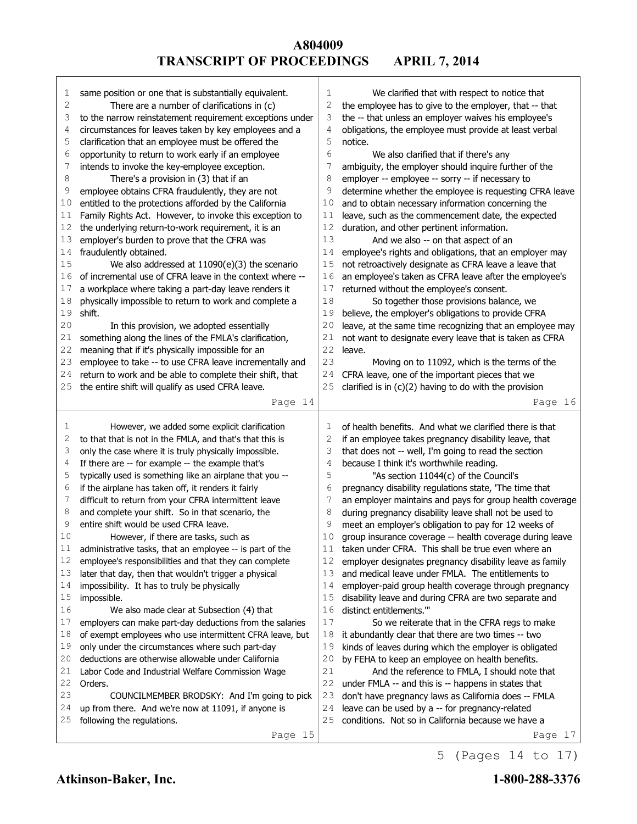| 1           | same position or one that is substantially equivalent.   | 1      | We clarified that with respect to notice that                 |
|-------------|----------------------------------------------------------|--------|---------------------------------------------------------------|
| $\mathbf 2$ | There are a number of clarifications in (c)              | 2      | the employee has to give to the employer, that -- that        |
| 3           | to the narrow reinstatement requirement exceptions under | 3      | the -- that unless an employer waives his employee's          |
| 4           | circumstances for leaves taken by key employees and a    | 4      | obligations, the employee must provide at least verbal        |
| 5           | clarification that an employee must be offered the       | 5      | notice.                                                       |
| 6           | opportunity to return to work early if an employee       | 6      | We also clarified that if there's any                         |
| 7           | intends to invoke the key-employee exception.            | 7      | ambiguity, the employer should inquire further of the         |
| 8           | There's a provision in (3) that if an                    | 8      | employer -- employee -- sorry -- if necessary to              |
| 9           | employee obtains CFRA fraudulently, they are not         | 9      | determine whether the employee is requesting CFRA leave       |
| 10          | entitled to the protections afforded by the California   | 10     | and to obtain necessary information concerning the            |
| 11          | Family Rights Act. However, to invoke this exception to  | 11     | leave, such as the commencement date, the expected            |
| 12          | the underlying return-to-work requirement, it is an      | 12     | duration, and other pertinent information.                    |
| 13          | employer's burden to prove that the CFRA was             | 13     | And we also -- on that aspect of an                           |
| 14          | fraudulently obtained.                                   | 14     | employee's rights and obligations, that an employer may       |
| 15          | We also addressed at $11090(e)(3)$ the scenario          | 15     | not retroactively designate as CFRA leave a leave that        |
| 16          | of incremental use of CFRA leave in the context where -- | 16     | an employee's taken as CFRA leave after the employee's        |
| 17          | a workplace where taking a part-day leave renders it     | 17     | returned without the employee's consent.                      |
| 18          | physically impossible to return to work and complete a   | 18     | So together those provisions balance, we                      |
| 19          | shift.                                                   | 19     | believe, the employer's obligations to provide CFRA           |
| 20          | In this provision, we adopted essentially                | 20     | leave, at the same time recognizing that an employee may      |
| 21          | something along the lines of the FMLA's clarification,   | 21     | not want to designate every leave that is taken as CFRA       |
| 22          | meaning that if it's physically impossible for an        | 22     | leave.                                                        |
| 23          | employee to take -- to use CFRA leave incrementally and  | 23     | Moving on to 11092, which is the terms of the                 |
| 24          | return to work and be able to complete their shift, that | 24     | CFRA leave, one of the important pieces that we               |
| 25          | the entire shift will qualify as used CFRA leave.        | 25     | clarified is in $(c)(2)$ having to do with the provision      |
|             | Page 14                                                  |        | Page 16                                                       |
|             |                                                          |        |                                                               |
|             |                                                          |        |                                                               |
| 1           | However, we added some explicit clarification            | 1      | of health benefits. And what we clarified there is that       |
| 2           | to that that is not in the FMLA, and that's that this is | 2      | if an employee takes pregnancy disability leave, that         |
| 3           | only the case where it is truly physically impossible.   | 3      | that does not -- well, I'm going to read the section          |
| 4           | If there are -- for example -- the example that's        | 4      | because I think it's worthwhile reading.                      |
| 5           | typically used is something like an airplane that you -- | 5      | "As section 11044(c) of the Council's                         |
| 6           | if the airplane has taken off, it renders it fairly      | 6      | pregnancy disability regulations state, 'The time that        |
| 7           | difficult to return from your CFRA intermittent leave    | 7      | an employer maintains and pays for group health coverage      |
| 8           | and complete your shift. So in that scenario, the        | 8      | during pregnancy disability leave shall not be used to        |
| 9           | entire shift would be used CFRA leave.                   | 9      | meet an employer's obligation to pay for 12 weeks of          |
| 10          | However, if there are tasks, such as                     | 10     | group insurance coverage -- health coverage during leave      |
| 11          | administrative tasks, that an employee -- is part of the | 11     | taken under CFRA. This shall be true even where an            |
| 12          | employee's responsibilities and that they can complete   | 12     | employer designates pregnancy disability leave as family      |
| 13          | later that day, then that wouldn't trigger a physical    | 13     | and medical leave under FMLA. The entitlements to             |
| 14          | impossibility. It has to truly be physically             | 14     | employer-paid group health coverage through pregnancy         |
| 15          | impossible.                                              | 15     | disability leave and during CFRA are two separate and         |
| 16          | We also made clear at Subsection (4) that                | 16     | distinct entitlements.""                                      |
| 17          | employers can make part-day deductions from the salaries | 17     | So we reiterate that in the CFRA regs to make                 |
| 18          | of exempt employees who use intermittent CFRA leave, but | 18     | it abundantly clear that there are two times -- two           |
| 19          | only under the circumstances where such part-day         | 19     | kinds of leaves during which the employer is obligated        |
| 20          | deductions are otherwise allowable under California      | 20     | by FEHA to keep an employee on health benefits.               |
| 21          | Labor Code and Industrial Welfare Commission Wage        | 21     | And the reference to FMLA, I should note that                 |
| 22          | Orders.                                                  | $2\,2$ | under FMLA -- and this is -- happens in states that           |
| 23          | COUNCILMEMBER BRODSKY: And I'm going to pick             | 23     | don't have pregnancy laws as California does -- FMLA          |
| 24          | up from there. And we're now at 11091, if anyone is      | 24     | leave can be used by a -- for pregnancy-related               |
| 25          | following the regulations.<br>Page 15                    | 25     | conditions. Not so in California because we have a<br>Page 17 |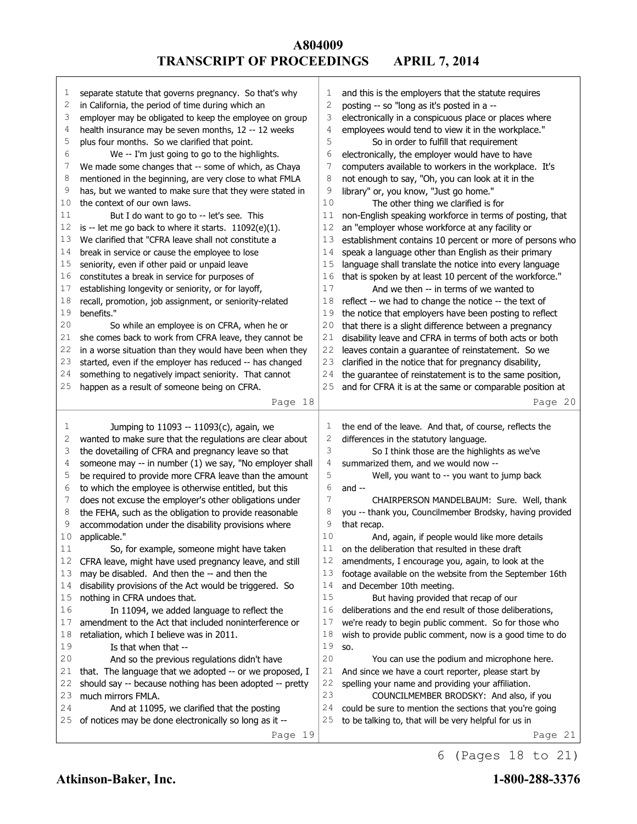| 1  | separate statute that governs pregnancy. So that's why   | 1              | and this is the employers that the statute requires      |
|----|----------------------------------------------------------|----------------|----------------------------------------------------------|
| 2  | in California, the period of time during which an        | $\overline{c}$ | posting -- so "long as it's posted in a --               |
| 3  | employer may be obligated to keep the employee on group  | 3              | electronically in a conspicuous place or places where    |
| 4  | health insurance may be seven months, 12 -- 12 weeks     | 4              | employees would tend to view it in the workplace."       |
| 5  | plus four months. So we clarified that point.            | 5              | So in order to fulfill that requirement                  |
| 6  | We -- I'm just going to go to the highlights.            | 6              | electronically, the employer would have to have          |
| 7  | We made some changes that -- some of which, as Chaya     | 7              | computers available to workers in the workplace. It's    |
| 8  | mentioned in the beginning, are very close to what FMLA  | 8              | not enough to say, "Oh, you can look at it in the        |
| 9  | has, but we wanted to make sure that they were stated in | 9              | library" or, you know, "Just go home."                   |
| 10 | the context of our own laws.                             | 10             | The other thing we clarified is for                      |
| 11 | But I do want to go to -- let's see. This                | 11             | non-English speaking workforce in terms of posting, that |
| 12 | is -- let me go back to where it starts. 11092(e)(1).    | 12             | an "employer whose workforce at any facility or          |
| 13 | We clarified that "CFRA leave shall not constitute a     | 13             | establishment contains 10 percent or more of persons who |
| 14 | break in service or cause the employee to lose           | 14             | speak a language other than English as their primary     |
| 15 | seniority, even if other paid or unpaid leave            | 15             | language shall translate the notice into every language  |
| 16 | constitutes a break in service for purposes of           | 16             | that is spoken by at least 10 percent of the workforce." |
| 17 | establishing longevity or seniority, or for layoff,      | 17             | And we then -- in terms of we wanted to                  |
| 18 | recall, promotion, job assignment, or seniority-related  | 18             | reflect -- we had to change the notice -- the text of    |
| 19 | benefits."                                               | 19             | the notice that employers have been posting to reflect   |
| 20 | So while an employee is on CFRA, when he or              | 20             | that there is a slight difference between a pregnancy    |
| 21 | she comes back to work from CFRA leave, they cannot be   | 21             | disability leave and CFRA in terms of both acts or both  |
| 22 | in a worse situation than they would have been when they | 22             | leaves contain a guarantee of reinstatement. So we       |
| 23 | started, even if the employer has reduced -- has changed | 23             | clarified in the notice that for pregnancy disability,   |
| 24 | something to negatively impact seniority. That cannot    | 24             | the guarantee of reinstatement is to the same position,  |
| 25 | happen as a result of someone being on CFRA.             | 25             | and for CFRA it is at the same or comparable position at |
|    | Page 18                                                  |                | Page 20                                                  |
|    |                                                          |                |                                                          |
|    |                                                          |                |                                                          |
| 1  | Jumping to 11093 -- 11093(c), again, we                  | 1              | the end of the leave. And that, of course, reflects the  |
| 2  | wanted to make sure that the regulations are clear about | 2              | differences in the statutory language.                   |
| 3  | the dovetailing of CFRA and pregnancy leave so that      | 3              | So I think those are the highlights as we've             |
| 4  | someone may -- in number (1) we say, "No employer shall  | 4              | summarized them, and we would now --                     |
| 5  | be required to provide more CFRA leave than the amount   | 5              | Well, you want to -- you want to jump back               |
| 6  | to which the employee is otherwise entitled, but this    | 6              | and $-$                                                  |
| 7  | does not excuse the employer's other obligations under   | $\overline{7}$ | CHAIRPERSON MANDELBAUM: Sure. Well, thank                |
| 8  | the FEHA, such as the obligation to provide reasonable   | 8              | you -- thank you, Councilmember Brodsky, having provided |
| 9  | accommodation under the disability provisions where      | 9              | that recap.                                              |
| 10 | applicable."                                             | 10             | And, again, if people would like more details            |
| 11 | So, for example, someone might have taken                | $11$           | on the deliberation that resulted in these draft         |
| 12 | CFRA leave, might have used pregnancy leave, and still   | 12             | amendments, I encourage you, again, to look at the       |
| 13 | may be disabled. And then the -- and then the            | 13             | footage available on the website from the September 16th |
| 14 | disability provisions of the Act would be triggered. So  | 14             | and December 10th meeting.                               |
| 15 | nothing in CFRA undoes that.                             | 15             | But having provided that recap of our                    |
| 16 | In 11094, we added language to reflect the               | 16             | deliberations and the end result of those deliberations, |
| 17 | amendment to the Act that included noninterference or    | 17             | we're ready to begin public comment. So for those who    |
| 18 | retaliation, which I believe was in 2011.                | 18             | wish to provide public comment, now is a good time to do |
| 19 | Is that when that --                                     | 19             | SO.                                                      |
| 20 | And so the previous regulations didn't have              | 20             | You can use the podium and microphone here.              |
| 21 | that. The language that we adopted -- or we proposed, I  | 21             | And since we have a court reporter, please start by      |
| 22 | should say -- because nothing has been adopted -- pretty | 22             | spelling your name and providing your affiliation.       |
| 23 | much mirrors FMLA.                                       | 23             | COUNCILMEMBER BRODSKY: And also, if you                  |
| 24 | And at 11095, we clarified that the posting              | 24             | could be sure to mention the sections that you're going  |
| 25 | of notices may be done electronically so long as it --   | 25             | to be talking to, that will be very helpful for us in    |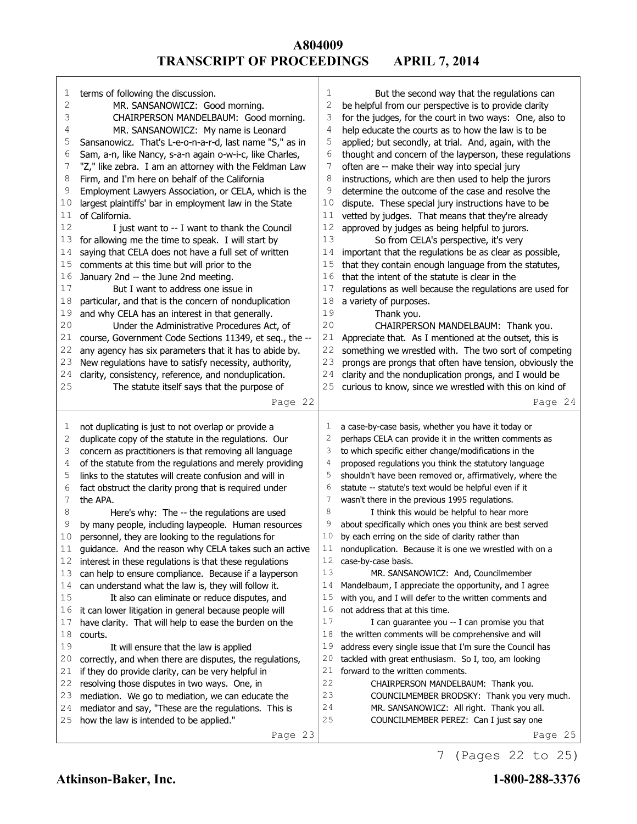| 1                 | terms of following the discussion.                                                                                  | $\mathbf{1}$        | But the second way that the regulations can                                                                   |
|-------------------|---------------------------------------------------------------------------------------------------------------------|---------------------|---------------------------------------------------------------------------------------------------------------|
| 2                 | MR. SANSANOWICZ: Good morning.                                                                                      | 2                   | be helpful from our perspective is to provide clarity                                                         |
| 3                 | CHAIRPERSON MANDELBAUM: Good morning.                                                                               | 3                   | for the judges, for the court in two ways: One, also to                                                       |
| 4                 | MR. SANSANOWICZ: My name is Leonard                                                                                 | 4                   | help educate the courts as to how the law is to be                                                            |
| 5                 | Sansanowicz. That's L-e-o-n-a-r-d, last name "S," as in                                                             | 5                   | applied; but secondly, at trial. And, again, with the                                                         |
| 6                 | Sam, a-n, like Nancy, s-a-n again o-w-i-c, like Charles,                                                            | 6                   | thought and concern of the layperson, these regulations                                                       |
| 7                 | "Z," like zebra. I am an attorney with the Feldman Law                                                              | 7                   | often are -- make their way into special jury                                                                 |
| 8                 | Firm, and I'm here on behalf of the California                                                                      | 8                   | instructions, which are then used to help the jurors                                                          |
| 9                 | Employment Lawyers Association, or CELA, which is the                                                               | 9                   | determine the outcome of the case and resolve the                                                             |
| 10                | largest plaintiffs' bar in employment law in the State                                                              | 10                  | dispute. These special jury instructions have to be                                                           |
| 11                | of California.                                                                                                      | 11                  | vetted by judges. That means that they're already                                                             |
| 12                | I just want to -- I want to thank the Council                                                                       | 12                  | approved by judges as being helpful to jurors.                                                                |
| 13                | for allowing me the time to speak. I will start by                                                                  | 13                  | So from CELA's perspective, it's very                                                                         |
| 14                | saying that CELA does not have a full set of written                                                                | 14                  | important that the regulations be as clear as possible,                                                       |
| 15                | comments at this time but will prior to the                                                                         | 15                  | that they contain enough language from the statutes,                                                          |
| 16                | January 2nd -- the June 2nd meeting.                                                                                | 16                  | that the intent of the statute is clear in the                                                                |
| $17$              | But I want to address one issue in                                                                                  | 17                  | regulations as well because the regulations are used for                                                      |
| $1\,8$            | particular, and that is the concern of nonduplication                                                               | 18                  | a variety of purposes.                                                                                        |
| 19                | and why CELA has an interest in that generally.                                                                     | 19                  | Thank you.                                                                                                    |
| 20                | Under the Administrative Procedures Act, of                                                                         | 20                  | CHAIRPERSON MANDELBAUM: Thank you.                                                                            |
| 21                | course, Government Code Sections 11349, et seq., the --                                                             | 21                  | Appreciate that. As I mentioned at the outset, this is                                                        |
| 22                | any agency has six parameters that it has to abide by.                                                              | 22                  | something we wrestled with. The two sort of competing                                                         |
| 23                | New regulations have to satisfy necessity, authority,                                                               | 23                  | prongs are prongs that often have tension, obviously the                                                      |
| 24<br>25          | clarity, consistency, reference, and nonduplication.                                                                | 24                  | clarity and the nonduplication prongs, and I would be                                                         |
|                   | The statute itself says that the purpose of                                                                         | 25                  | curious to know, since we wrestled with this on kind of                                                       |
|                   | Page 22                                                                                                             |                     | Page 24                                                                                                       |
|                   |                                                                                                                     |                     |                                                                                                               |
|                   |                                                                                                                     |                     |                                                                                                               |
| 1                 | not duplicating is just to not overlap or provide a                                                                 | 1<br>$\overline{c}$ | a case-by-case basis, whether you have it today or                                                            |
| $\mathbf{2}$<br>3 | duplicate copy of the statute in the regulations. Our                                                               | 3                   | perhaps CELA can provide it in the written comments as                                                        |
| $\overline{4}$    | concern as practitioners is that removing all language                                                              | 4                   | to which specific either change/modifications in the<br>proposed regulations you think the statutory language |
| 5                 | of the statute from the regulations and merely providing<br>links to the statutes will create confusion and will in | 5                   | shouldn't have been removed or, affirmatively, where the                                                      |
| 6                 | fact obstruct the clarity prong that is required under                                                              | 6                   | statute -- statute's text would be helpful even if it                                                         |
| 7                 | the APA.                                                                                                            | 7                   | wasn't there in the previous 1995 regulations.                                                                |
| 8                 | Here's why: The -- the regulations are used                                                                         | 8                   | I think this would be helpful to hear more                                                                    |
| 9                 | by many people, including laypeople. Human resources                                                                | 9                   | about specifically which ones you think are best served                                                       |
| 10                | personnel, they are looking to the regulations for                                                                  | 10                  | by each erring on the side of clarity rather than                                                             |
| 11                | guidance. And the reason why CELA takes such an active                                                              | 11                  | nonduplication. Because it is one we wrestled with on a                                                       |
| 12                | interest in these regulations is that these regulations                                                             | 12                  | case-by-case basis.                                                                                           |
| 13                | can help to ensure compliance. Because if a layperson                                                               | 13                  | MR. SANSANOWICZ: And, Councilmember                                                                           |
| 14                | can understand what the law is, they will follow it.                                                                | 14                  | Mandelbaum, I appreciate the opportunity, and I agree                                                         |
| 15                | It also can eliminate or reduce disputes, and                                                                       | 15                  | with you, and I will defer to the written comments and                                                        |
| 16                | it can lower litigation in general because people will                                                              | 16                  | not address that at this time.                                                                                |
| 17                | have clarity. That will help to ease the burden on the                                                              | 17                  | I can guarantee you -- I can promise you that                                                                 |
| 18                | courts.                                                                                                             | 18                  | the written comments will be comprehensive and will                                                           |
| 19                | It will ensure that the law is applied                                                                              | 19                  | address every single issue that I'm sure the Council has                                                      |
| 20                | correctly, and when there are disputes, the regulations,                                                            | 20                  | tackled with great enthusiasm. So I, too, am looking                                                          |
| 21                | if they do provide clarity, can be very helpful in                                                                  | 21                  | forward to the written comments.                                                                              |
| 22                | resolving those disputes in two ways. One, in                                                                       | 22                  | CHAIRPERSON MANDELBAUM: Thank you.                                                                            |
| 23                | mediation. We go to mediation, we can educate the                                                                   | 23                  | COUNCILMEMBER BRODSKY: Thank you very much.                                                                   |
| 24                | mediator and say, "These are the regulations. This is                                                               | 24                  | MR. SANSANOWICZ: All right. Thank you all.                                                                    |
| 25                | how the law is intended to be applied."<br>Page 23                                                                  | 25                  | COUNCILMEMBER PEREZ: Can I just say one<br>Page 25                                                            |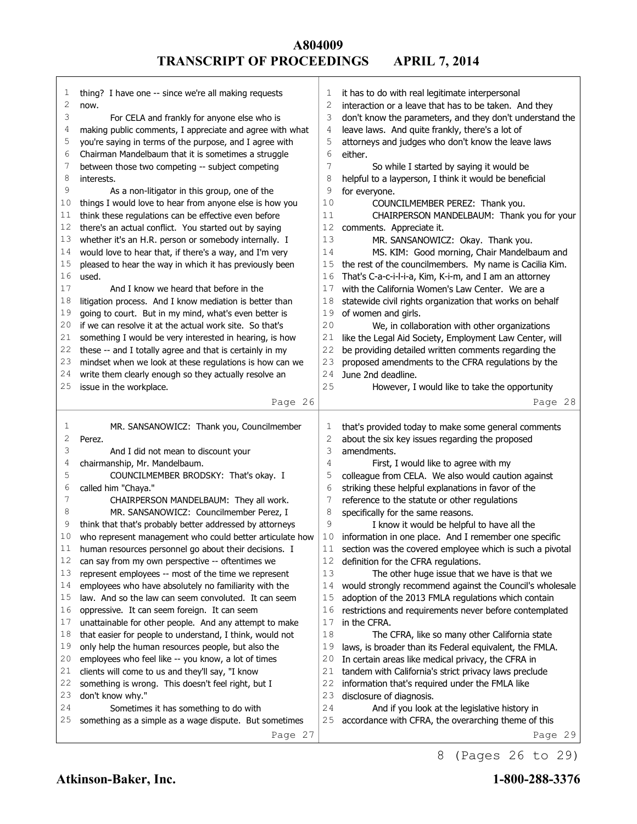| 1              | thing? I have one -- since we're all making requests     | 1            | it has to do with real legitimate interpersonal          |
|----------------|----------------------------------------------------------|--------------|----------------------------------------------------------|
| $\overline{c}$ | now.                                                     | 2            | interaction or a leave that has to be taken. And they    |
| 3              | For CELA and frankly for anyone else who is              | 3            | don't know the parameters, and they don't understand the |
| 4              | making public comments, I appreciate and agree with what | 4            | leave laws. And quite frankly, there's a lot of          |
| 5              | you're saying in terms of the purpose, and I agree with  | 5            | attorneys and judges who don't know the leave laws       |
| 6              | Chairman Mandelbaum that it is sometimes a struggle      | 6            | either.                                                  |
| 7              | between those two competing -- subject competing         | 7            | So while I started by saying it would be                 |
| 8              | interests.                                               | 8            | helpful to a layperson, I think it would be beneficial   |
| 9              | As a non-litigator in this group, one of the             | 9            | for everyone.                                            |
| 10             | things I would love to hear from anyone else is how you  | 10           | COUNCILMEMBER PEREZ: Thank you.                          |
| 11             | think these regulations can be effective even before     | 11           | CHAIRPERSON MANDELBAUM: Thank you for your               |
| 12             | there's an actual conflict. You started out by saying    | 12           | comments. Appreciate it.                                 |
| 13             | whether it's an H.R. person or somebody internally. I    | 13           | MR. SANSANOWICZ: Okay. Thank you.                        |
| 14             | would love to hear that, if there's a way, and I'm very  | 14           | MS. KIM: Good morning, Chair Mandelbaum and              |
| 15             | pleased to hear the way in which it has previously been  | 15           | the rest of the councilmembers. My name is Cacilia Kim.  |
| 16             | used.                                                    | 16           | That's C-a-c-i-l-i-a, Kim, K-i-m, and I am an attorney   |
| 17             | And I know we heard that before in the                   | 17           | with the California Women's Law Center. We are a         |
| 18             | litigation process. And I know mediation is better than  | 18           | statewide civil rights organization that works on behalf |
| 19             | going to court. But in my mind, what's even better is    | 19           | of women and girls.                                      |
| 20             | if we can resolve it at the actual work site. So that's  | 20           | We, in collaboration with other organizations            |
| 21             | something I would be very interested in hearing, is how  | 21           | like the Legal Aid Society, Employment Law Center, will  |
| 22             | these -- and I totally agree and that is certainly in my | 22           | be providing detailed written comments regarding the     |
| 23             | mindset when we look at these regulations is how can we  | 23           | proposed amendments to the CFRA regulations by the       |
| 24             | write them clearly enough so they actually resolve an    | 24           | June 2nd deadline.                                       |
| 25             | issue in the workplace.                                  | 25           | However, I would like to take the opportunity            |
|                |                                                          |              |                                                          |
|                | Page 26                                                  |              | Page 28                                                  |
|                |                                                          |              |                                                          |
|                |                                                          |              |                                                          |
| 1              | MR. SANSANOWICZ: Thank you, Councilmember                | 1            | that's provided today to make some general comments      |
| $\mathbf{2}$   | Perez.                                                   | $\mathbf{2}$ | about the six key issues regarding the proposed          |
| 3              | And I did not mean to discount your                      | 3            | amendments.                                              |
| 4              | chairmanship, Mr. Mandelbaum.                            | 4            | First, I would like to agree with my                     |
| 5              | COUNCILMEMBER BRODSKY: That's okay. I                    | 5            | colleague from CELA. We also would caution against       |
| 6              | called him "Chaya."                                      | 6            | striking these helpful explanations in favor of the      |
| 7              | CHAIRPERSON MANDELBAUM: They all work.                   | 7            | reference to the statute or other regulations            |
| 8              | MR. SANSANOWICZ: Councilmember Perez, I                  | 8            | specifically for the same reasons.                       |
| 9              | think that that's probably better addressed by attorneys | 9            | I know it would be helpful to have all the               |
| 10             | who represent management who could better articulate how | 10           | information in one place. And I remember one specific    |
| 11             | human resources personnel go about their decisions. I    | 11           | section was the covered employee which is such a pivotal |
| 12             | can say from my own perspective -- oftentimes we         | 12           | definition for the CFRA regulations.                     |
| 13             | represent employees -- most of the time we represent     | 13           | The other huge issue that we have is that we             |
| 14             | employees who have absolutely no familiarity with the    | 14           | would strongly recommend against the Council's wholesale |
| 15             | law. And so the law can seem convoluted. It can seem     | 15           | adoption of the 2013 FMLA regulations which contain      |
| 16             | oppressive. It can seem foreign. It can seem             | 16           | restrictions and requirements never before contemplated  |
| 17             | unattainable for other people. And any attempt to make   | 17           | in the CFRA.                                             |
| 18             | that easier for people to understand, I think, would not | 18           | The CFRA, like so many other California state            |
| 19             | only help the human resources people, but also the       | 19           | laws, is broader than its Federal equivalent, the FMLA.  |
| 20             | employees who feel like -- you know, a lot of times      | 20           | In certain areas like medical privacy, the CFRA in       |
| 21             | clients will come to us and they'll say, "I know         | 21           | tandem with California's strict privacy laws preclude    |
| 22             | something is wrong. This doesn't feel right, but I       | 22           | information that's required under the FMLA like          |
| 23             | don't know why."                                         | 23           | disclosure of diagnosis.                                 |
| 24             | Sometimes it has something to do with                    | 24           | And if you look at the legislative history in            |
| 25             | something as a simple as a wage dispute. But sometimes   | 25           | accordance with CFRA, the overarching theme of this      |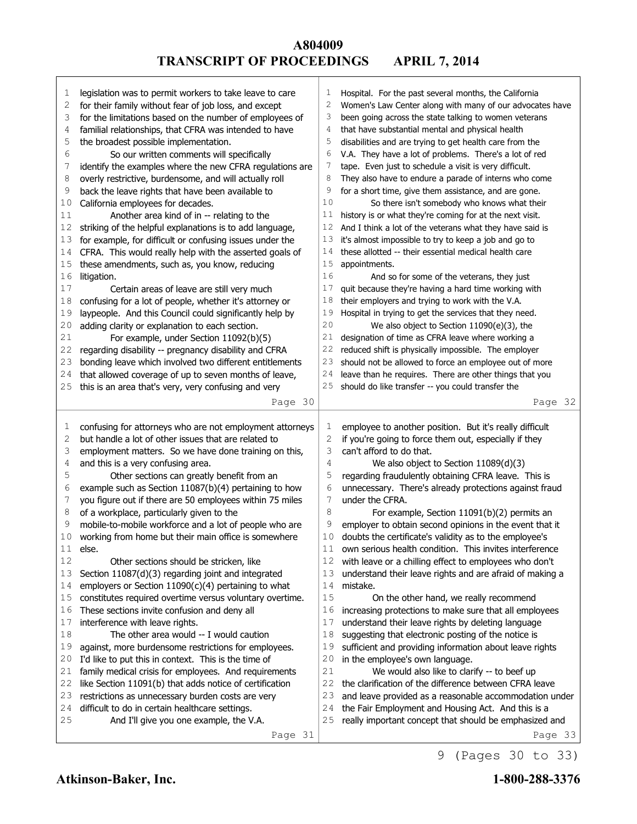| 1  | legislation was to permit workers to take leave to care  | 1             | Hospital. For the past several months, the California    |
|----|----------------------------------------------------------|---------------|----------------------------------------------------------|
| 2  | for their family without fear of job loss, and except    | 2             | Women's Law Center along with many of our advocates have |
| 3  | for the limitations based on the number of employees of  | 3             | been going across the state talking to women veterans    |
| 4  | familial relationships, that CFRA was intended to have   | 4             | that have substantial mental and physical health         |
|    |                                                          | 5             | disabilities and are trying to get health care from the  |
| 5  | the broadest possible implementation.                    |               |                                                          |
| 6  | So our written comments will specifically                | 6             | V.A. They have a lot of problems. There's a lot of red   |
| 7  | identify the examples where the new CFRA regulations are | $\frac{1}{2}$ | tape. Even just to schedule a visit is very difficult.   |
| 8  | overly restrictive, burdensome, and will actually roll   | 8             | They also have to endure a parade of interns who come    |
| 9  | back the leave rights that have been available to        | 9             | for a short time, give them assistance, and are gone.    |
| 10 | California employees for decades.                        | 10            | So there isn't somebody who knows what their             |
| 11 | Another area kind of in -- relating to the               | 11            | history is or what they're coming for at the next visit. |
| 12 | striking of the helpful explanations is to add language, | 12            | And I think a lot of the veterans what they have said is |
| 13 | for example, for difficult or confusing issues under the | 13            | it's almost impossible to try to keep a job and go to    |
| 14 | CFRA. This would really help with the asserted goals of  | 14            | these allotted -- their essential medical health care    |
|    |                                                          |               |                                                          |
| 15 | these amendments, such as, you know, reducing            | 15            | appointments.                                            |
| 16 | litigation.                                              | 16            | And so for some of the veterans, they just               |
| 17 | Certain areas of leave are still very much               | 17            | quit because they're having a hard time working with     |
| 18 | confusing for a lot of people, whether it's attorney or  | 18            | their employers and trying to work with the V.A.         |
| 19 | laypeople. And this Council could significantly help by  | 19            | Hospital in trying to get the services that they need.   |
| 20 | adding clarity or explanation to each section.           | 20            | We also object to Section 11090(e)(3), the               |
| 21 | For example, under Section 11092(b)(5)                   | 21            | designation of time as CFRA leave where working a        |
| 22 | regarding disability -- pregnancy disability and CFRA    | 22            | reduced shift is physically impossible. The employer     |
| 23 | bonding leave which involved two different entitlements  | 23            | should not be allowed to force an employee out of more   |
| 24 | that allowed coverage of up to seven months of leave,    | 24            | leave than he requires. There are other things that you  |
| 25 | this is an area that's very, very confusing and very     | 25            | should do like transfer -- you could transfer the        |
|    |                                                          |               |                                                          |
|    | Page 30                                                  |               | Page 32                                                  |
|    |                                                          |               |                                                          |
|    |                                                          |               |                                                          |
| 1  | confusing for attorneys who are not employment attorneys | 1             | employee to another position. But it's really difficult  |
| 2  | but handle a lot of other issues that are related to     | $\mathbf{2}$  | if you're going to force them out, especially if they    |
| 3  |                                                          | 3             | can't afford to do that.                                 |
| 4  | employment matters. So we have done training on this,    | 4             |                                                          |
| 5  | and this is a very confusing area.                       | 5             | We also object to Section 11089(d)(3)                    |
|    | Other sections can greatly benefit from an               |               | regarding fraudulently obtaining CFRA leave. This is     |
| 6  | example such as Section 11087(b)(4) pertaining to how    | 6             | unnecessary. There's already protections against fraud   |
| 7  | you figure out if there are 50 employees within 75 miles | 7             | under the CFRA.                                          |
| 8  | of a workplace, particularly given to the                | 8             | For example, Section 11091(b)(2) permits an              |
| 9  | mobile-to-mobile workforce and a lot of people who are   | 9             | employer to obtain second opinions in the event that it  |
| 10 | working from home but their main office is somewhere     | 10            | doubts the certificate's validity as to the employee's   |
| 11 | else.                                                    | $1\,1$        | own serious health condition. This invites interference  |
| 12 | Other sections should be stricken, like                  | 12            | with leave or a chilling effect to employees who don't   |
| 13 | Section 11087(d)(3) regarding joint and integrated       | 13            | understand their leave rights and are afraid of making a |
| 14 | employers or Section 11090(c)(4) pertaining to what      | 14            | mistake.                                                 |
| 15 | constitutes required overtime versus voluntary overtime. | 15            | On the other hand, we really recommend                   |
| 16 | These sections invite confusion and deny all             | 16            | increasing protections to make sure that all employees   |
| 17 | interference with leave rights.                          | 17            | understand their leave rights by deleting language       |
| 18 |                                                          | 18            |                                                          |
|    | The other area would -- I would caution                  |               | suggesting that electronic posting of the notice is      |
| 19 | against, more burdensome restrictions for employees.     | 19            | sufficient and providing information about leave rights  |
| 20 | I'd like to put this in context. This is the time of     | 20            | in the employee's own language.                          |
| 21 | family medical crisis for employees. And requirements    | 21            | We would also like to clarify -- to beef up              |
| 22 | like Section 11091(b) that adds notice of certification  | 22            | the clarification of the difference between CFRA leave   |
| 23 | restrictions as unnecessary burden costs are very        | 23            | and leave provided as a reasonable accommodation under   |
| 24 | difficult to do in certain healthcare settings.          | 24            | the Fair Employment and Housing Act. And this is a       |
| 25 | And I'll give you one example, the V.A.                  | 25            | really important concept that should be emphasized and   |

Г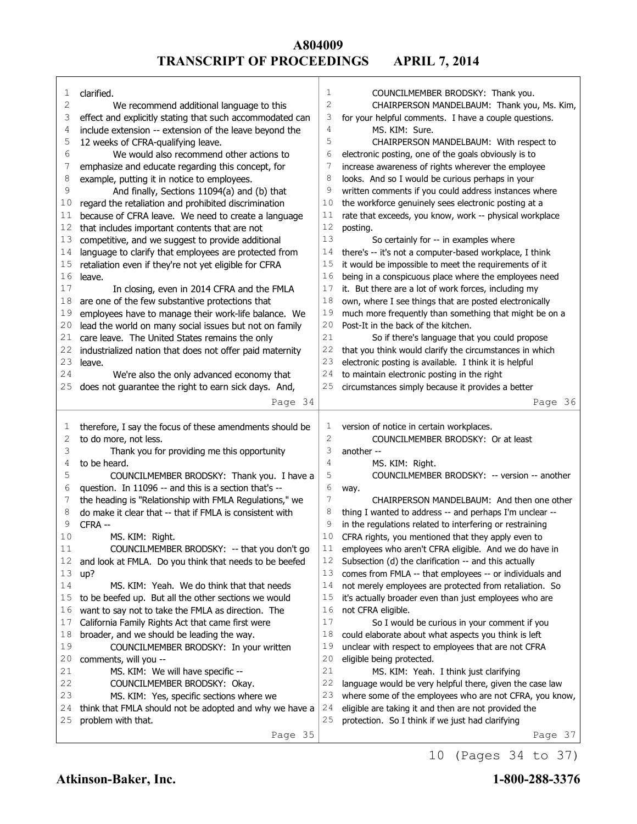Page 34 clarified. We recommend additional language to this effect and explicitly stating that such accommodated can include extension -- extension of the leave beyond the 12 weeks of CFRA-qualifying leave. We would also recommend other actions to  $7$  emphasize and educate regarding this concept. for emphasize and educate regarding this concept, for example, putting it in notice to employees. And finally, Sections 11094(a) and (b) that regard the retaliation and prohibited discrimination 11 because of CFRA leave. We need to create a language that includes important contents that are not competitive, and we suggest to provide additional 14 language to clarify that employees are protected from retaliation even if they're not yet eligible for CFRA leave. In closing, even in 2014 CFRA and the FMLA are one of the few substantive protections that employees have to manage their work-life balance. We lead the world on many social issues but not on family care leave. The United States remains the only industrialized nation that does not offer paid maternity leave. We're also the only advanced economy that does not guarantee the right to earn sick days. And, Page 35 therefore, I say the focus of these amendments should be to do more, not less. Thank you for providing me this opportunity to be heard. COUNCILMEMBER BRODSKY: Thank you. I have a question. In 11096 -- and this is a section that's -- the heading is "Relationship with FMLA Regulations," we do make it clear that -- that if FMLA is consistent with CFRA -- MS. KIM: Right. COUNCILMEMBER BRODSKY: -- that you don't go and look at FMLA. Do you think that needs to be beefed up? MS. KIM: Yeah. We do think that that needs to be beefed up. But all the other sections we would want to say not to take the FMLA as direction. The California Family Rights Act that came first were broader, and we should be leading the way. COUNCILMEMBER BRODSKY: In your written comments, will you -- MS. KIM: We will have specific -- COUNCILMEMBER BRODSKY: Okay. MS. KIM: Yes, specific sections where we think that FMLA should not be adopted and why we have a problem with that. Page 36 COUNCILMEMBER BRODSKY: Thank you. CHAIRPERSON MANDELBAUM: Thank you, Ms. Kim, for your helpful comments. I have a couple questions. MS. KIM: Sure. CHAIRPERSON MANDELBAUM: With respect to electronic posting, one of the goals obviously is to increase awareness of rights wherever the employee looks. And so I would be curious perhaps in your written comments if you could address instances where 10 the workforce genuinely sees electronic posting at a rate that exceeds, you know, work -- physical workplace posting. So certainly for -- in examples where there's -- it's not a computer-based workplace, I think it would be impossible to meet the requirements of it 16 being in a conspicuous place where the employees need it. But there are a lot of work forces, including my own, where I see things that are posted electronically much more frequently than something that might be on a Post-It in the back of the kitchen. So if there's language that you could propose that you think would clarify the circumstances in which electronic posting is available. I think it is helpful to maintain electronic posting in the right circumstances simply because it provides a better Page 37 version of notice in certain workplaces. COUNCILMEMBER BRODSKY: Or at least another -- MS. KIM: Right. COUNCILMEMBER BRODSKY: -- version -- another way. CHAIRPERSON MANDELBAUM: And then one other thing I wanted to address -- and perhaps I'm unclear -- in the regulations related to interfering or restraining CFRA rights, you mentioned that they apply even to 11 employees who aren't CFRA eligible. And we do have in Subsection (d) the clarification -- and this actually comes from FMLA -- that employees -- or individuals and 14 not merely employees are protected from retaliation. So it's actually broader even than just employees who are not CFRA eligible. So I would be curious in your comment if you could elaborate about what aspects you think is left unclear with respect to employees that are not CFRA eligible being protected. MS. KIM: Yeah. I think just clarifying language would be very helpful there, given the case law where some of the employees who are not CFRA, you know, eligible are taking it and then are not provided the protection. So I think if we just had clarifying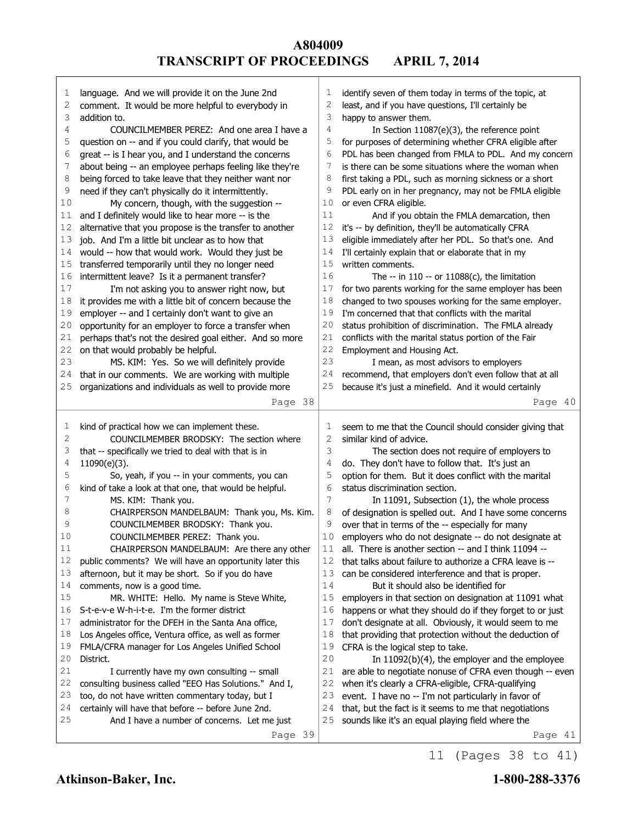| 1      | language. And we will provide it on the June 2nd        | 1            | identify seven of them today in terms of the topic, at   |
|--------|---------------------------------------------------------|--------------|----------------------------------------------------------|
| 2      | comment. It would be more helpful to everybody in       | 2            | least, and if you have questions, I'll certainly be      |
| 3      | addition to.                                            | 3            | happy to answer them.                                    |
| 4      | COUNCILMEMBER PEREZ: And one area I have a              | 4            | In Section 11087(e)(3), the reference point              |
| 5      | question on -- and if you could clarify, that would be  | 5            | for purposes of determining whether CFRA eligible after  |
| 6      | great -- is I hear you, and I understand the concerns   | 6            | PDL has been changed from FMLA to PDL. And my concern    |
| 7      | about being -- an employee perhaps feeling like they're | 7            | is there can be some situations where the woman when     |
| 8      | being forced to take leave that they neither want nor   | 8            | first taking a PDL, such as morning sickness or a short  |
| 9      | need if they can't physically do it intermittently.     | 9            | PDL early on in her pregnancy, may not be FMLA eligible  |
| 10     | My concern, though, with the suggestion --              | 10           | or even CFRA eligible.                                   |
| 11     | and I definitely would like to hear more -- is the      | 11           | And if you obtain the FMLA demarcation, then             |
| 12     | alternative that you propose is the transfer to another | 12           | it's -- by definition, they'll be automatically CFRA     |
| 13     | job. And I'm a little bit unclear as to how that        | 13           | eligible immediately after her PDL. So that's one. And   |
| 14     | would -- how that would work. Would they just be        | 14           | I'll certainly explain that or elaborate that in my      |
| 15     | transferred temporarily until they no longer need       | 15           | written comments.                                        |
| 16     | intermittent leave? Is it a permanent transfer?         | 16           | The $-$ in 110 $-$ or 11088(c), the limitation           |
| 17     | I'm not asking you to answer right now, but             | 17           | for two parents working for the same employer has been   |
| 18     | it provides me with a little bit of concern because the | 18           | changed to two spouses working for the same employer.    |
| 19     | employer -- and I certainly don't want to give an       | 19           | I'm concerned that that conflicts with the marital       |
| 20     | opportunity for an employer to force a transfer when    | 20           | status prohibition of discrimination. The FMLA already   |
| 21     | perhaps that's not the desired goal either. And so more | 21           | conflicts with the marital status portion of the Fair    |
| 22     | on that would probably be helpful.                      | 22           | Employment and Housing Act.                              |
| 23     | MS. KIM: Yes. So we will definitely provide             | 23           | I mean, as most advisors to employers                    |
| 24     | that in our comments. We are working with multiple      | 24           | recommend, that employers don't even follow that at all  |
| 25     | organizations and individuals as well to provide more   | 25           | because it's just a minefield. And it would certainly    |
|        |                                                         |              |                                                          |
|        | Page 38                                                 |              | Page 40                                                  |
|        |                                                         |              |                                                          |
|        |                                                         |              |                                                          |
| 1      | kind of practical how we can implement these.           | 1            | seem to me that the Council should consider giving that  |
| 2      | COUNCILMEMBER BRODSKY: The section where                | $\mathbf{2}$ | similar kind of advice.                                  |
| 3      | that -- specifically we tried to deal with that is in   | 3            | The section does not require of employers to             |
| 4      | 11090(e)(3).                                            | 4            | do. They don't have to follow that. It's just an         |
| 5      | So, yeah, if you -- in your comments, you can           | 5            | option for them. But it does conflict with the marital   |
| 6      | kind of take a look at that one, that would be helpful. | 6            | status discrimination section.                           |
| 7      | MS. KIM: Thank you.                                     | 7            | In 11091, Subsection (1), the whole process              |
| 8      | CHAIRPERSON MANDELBAUM: Thank you, Ms. Kim.             | 8            | of designation is spelled out. And I have some concerns  |
| 9      | COUNCILMEMBER BRODSKY: Thank you.                       | 9            | over that in terms of the -- especially for many         |
| 10     | COUNCILMEMBER PEREZ: Thank you.                         | 10           | employers who do not designate -- do not designate at    |
| $1\,1$ | CHAIRPERSON MANDELBAUM: Are there any other             | 11           | all. There is another section -- and I think 11094 --    |
| 12     | public comments? We will have an opportunity later this | 12           | that talks about failure to authorize a CFRA leave is -- |
| 13     | afternoon, but it may be short. So if you do have       | 13           | can be considered interference and that is proper.       |
| 14     | comments, now is a good time.                           | 14           | But it should also be identified for                     |
| 15     | MR. WHITE: Hello. My name is Steve White,               | 15           | employers in that section on designation at 11091 what   |
| 16     | S-t-e-v-e W-h-i-t-e. I'm the former district            | 16           | happens or what they should do if they forget to or just |
| 17     | administrator for the DFEH in the Santa Ana office,     | 17           | don't designate at all. Obviously, it would seem to me   |
| 18     | Los Angeles office, Ventura office, as well as former   | 18           | that providing that protection without the deduction of  |
| 19     | FMLA/CFRA manager for Los Angeles Unified School        | 19           | CFRA is the logical step to take.                        |
| 20     | District.                                               | 20           | In $11092(b)(4)$ , the employer and the employee         |
| 21     | I currently have my own consulting -- small             | 21           | are able to negotiate nonuse of CFRA even though -- even |
| 22     | consulting business called "EEO Has Solutions." And I,  | 22           | when it's clearly a CFRA-eligible, CFRA-qualifying       |
| 23     | too, do not have written commentary today, but I        | 23           | event. I have no -- I'm not particularly in favor of     |
| 24     | certainly will have that before -- before June 2nd.     | 24           | that, but the fact is it seems to me that negotiations   |
| 25     | And I have a number of concerns. Let me just            | 25           | sounds like it's an equal playing field where the        |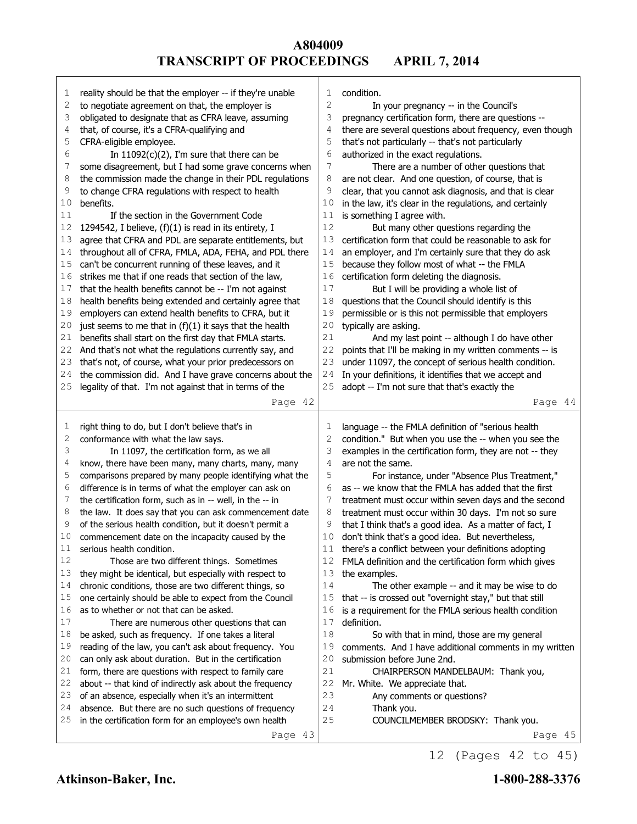| 1  | reality should be that the employer -- if they're unable                                                      | 1              | condition.                                                                                                   |
|----|---------------------------------------------------------------------------------------------------------------|----------------|--------------------------------------------------------------------------------------------------------------|
| 2  | to negotiate agreement on that, the employer is                                                               | $\overline{c}$ | In your pregnancy -- in the Council's                                                                        |
| 3  | obligated to designate that as CFRA leave, assuming                                                           | 3              | pregnancy certification form, there are questions --                                                         |
| 4  | that, of course, it's a CFRA-qualifying and                                                                   | 4              | there are several questions about frequency, even though                                                     |
| 5  | CFRA-eligible employee.                                                                                       | 5              | that's not particularly -- that's not particularly                                                           |
| 6  | In $11092(c)(2)$ , I'm sure that there can be                                                                 | 6              | authorized in the exact regulations.                                                                         |
| 7  | some disagreement, but I had some grave concerns when                                                         | 7              | There are a number of other questions that                                                                   |
| 8  | the commission made the change in their PDL regulations                                                       | 8              | are not clear. And one question, of course, that is                                                          |
| 9  | to change CFRA regulations with respect to health                                                             | 9              | clear, that you cannot ask diagnosis, and that is clear                                                      |
| 10 | benefits.                                                                                                     | 10             | in the law, it's clear in the regulations, and certainly                                                     |
| 11 | If the section in the Government Code                                                                         | 11             | is something I agree with.                                                                                   |
| 12 | 1294542, I believe, (f)(1) is read in its entirety, I                                                         | $1\,2$         | But many other questions regarding the                                                                       |
| 13 | agree that CFRA and PDL are separate entitlements, but                                                        | 13             | certification form that could be reasonable to ask for                                                       |
| 14 | throughout all of CFRA, FMLA, ADA, FEHA, and PDL there                                                        | 14             | an employer, and I'm certainly sure that they do ask                                                         |
| 15 | can't be concurrent running of these leaves, and it                                                           | 15             | because they follow most of what -- the FMLA                                                                 |
| 16 | strikes me that if one reads that section of the law,                                                         | 16             | certification form deleting the diagnosis.                                                                   |
| 17 | that the health benefits cannot be -- I'm not against                                                         | 17             | But I will be providing a whole list of                                                                      |
| 18 | health benefits being extended and certainly agree that                                                       | 18             | questions that the Council should identify is this                                                           |
| 19 | employers can extend health benefits to CFRA, but it                                                          | 19             | permissible or is this not permissible that employers                                                        |
| 20 | just seems to me that in $(f)(1)$ it says that the health                                                     | 20             | typically are asking.                                                                                        |
| 21 | benefits shall start on the first day that FMLA starts.                                                       | 21             | And my last point -- although I do have other                                                                |
| 22 | And that's not what the regulations currently say, and                                                        | 22             | points that I'll be making in my written comments -- is                                                      |
| 23 | that's not, of course, what your prior predecessors on                                                        | 23             | under 11097, the concept of serious health condition.                                                        |
| 24 | the commission did. And I have grave concerns about the                                                       | 24             | In your definitions, it identifies that we accept and                                                        |
| 25 | legality of that. I'm not against that in terms of the                                                        | 25             | adopt -- I'm not sure that that's exactly the                                                                |
|    | Page 42                                                                                                       |                | Page 44                                                                                                      |
|    |                                                                                                               |                |                                                                                                              |
|    |                                                                                                               |                |                                                                                                              |
| 1  |                                                                                                               | 1              |                                                                                                              |
| 2  | right thing to do, but I don't believe that's in                                                              | 2              | language -- the FMLA definition of "serious health                                                           |
| 3  | conformance with what the law says.                                                                           | 3              | condition." But when you use the -- when you see the                                                         |
| 4  | In 11097, the certification form, as we all                                                                   | 4              | examples in the certification form, they are not -- they<br>are not the same.                                |
| 5  | know, there have been many, many charts, many, many                                                           | 5              |                                                                                                              |
| 6  | comparisons prepared by many people identifying what the                                                      | 6              | For instance, under "Absence Plus Treatment,"<br>as -- we know that the FMLA has added that the first        |
| 7  | difference is in terms of what the employer can ask on                                                        | 7              |                                                                                                              |
| 8  | the certification form, such as in -- well, in the -- in                                                      | 8              | treatment must occur within seven days and the second                                                        |
| 9  | the law. It does say that you can ask commencement date                                                       | 9              | treatment must occur within 30 days. I'm not so sure                                                         |
| 10 | of the serious health condition, but it doesn't permit a<br>commencement date on the incapacity caused by the | 10             | that I think that's a good idea. As a matter of fact, I<br>don't think that's a good idea. But nevertheless, |
| 11 | serious health condition.                                                                                     |                | there's a conflict between your definitions adopting                                                         |
| 12 | Those are two different things. Sometimes                                                                     | 12             |                                                                                                              |
| 13 | they might be identical, but especially with respect to                                                       | 13             | FMLA definition and the certification form which gives<br>the examples.                                      |
| 14 |                                                                                                               | 14             |                                                                                                              |
| 15 | chronic conditions, those are two different things, so                                                        | 15             | The other example -- and it may be wise to do                                                                |
| 16 | one certainly should be able to expect from the Council<br>as to whether or not that can be asked.            | 16             | that -- is crossed out "overnight stay," but that still                                                      |
| 17 |                                                                                                               | 17             | is a requirement for the FMLA serious health condition<br>definition.                                        |
| 18 | There are numerous other questions that can                                                                   | 18             |                                                                                                              |
| 19 | be asked, such as frequency. If one takes a literal                                                           | 19             | So with that in mind, those are my general                                                                   |
| 20 | reading of the law, you can't ask about frequency. You                                                        | 20             | comments. And I have additional comments in my written<br>submission before June 2nd.                        |
| 21 | can only ask about duration. But in the certification                                                         |                |                                                                                                              |
| 22 | form, there are questions with respect to family care                                                         | 21<br>22       | CHAIRPERSON MANDELBAUM: Thank you,                                                                           |
| 23 | about -- that kind of indirectly ask about the frequency                                                      |                | Mr. White. We appreciate that.                                                                               |
| 24 | of an absence, especially when it's an intermittent                                                           | 23<br>24       | Any comments or questions?                                                                                   |
| 25 | absence. But there are no such questions of frequency                                                         | 25             | Thank you.                                                                                                   |
|    | in the certification form for an employee's own health<br>Page 43                                             |                | COUNCILMEMBER BRODSKY: Thank you.<br>Page 45                                                                 |

12 (Pages 42 to 45)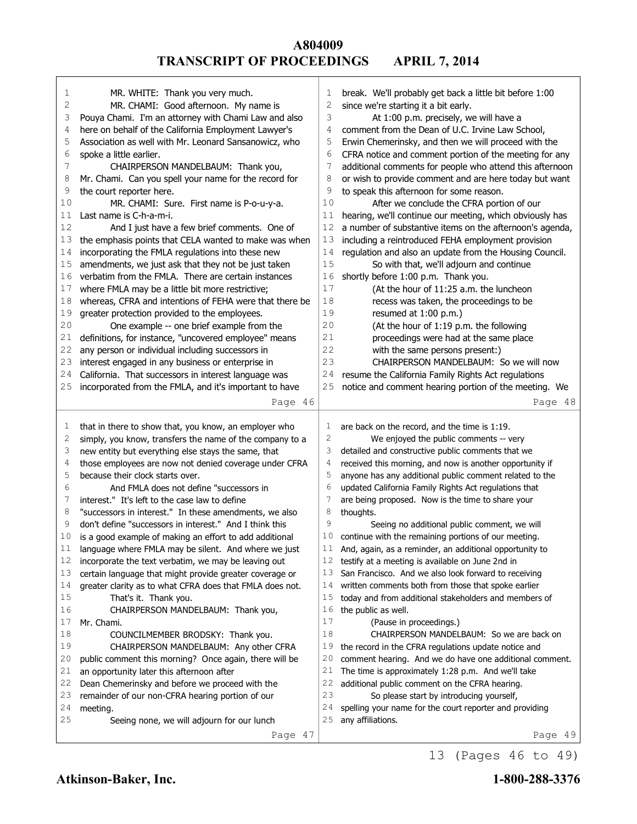| 1      | MR. WHITE: Thank you very much.                                             | 1            | break. We'll probably get back a little bit before 1:00  |
|--------|-----------------------------------------------------------------------------|--------------|----------------------------------------------------------|
| 2      | MR. CHAMI: Good afternoon. My name is                                       | 2            | since we're starting it a bit early.                     |
| 3      | Pouya Chami. I'm an attorney with Chami Law and also                        | 3            | At 1:00 p.m. precisely, we will have a                   |
| 4      | here on behalf of the California Employment Lawyer's                        | 4            | comment from the Dean of U.C. Irvine Law School,         |
| 5      | Association as well with Mr. Leonard Sansanowicz, who                       | 5            | Erwin Chemerinsky, and then we will proceed with the     |
| 6      | spoke a little earlier.                                                     | 6            | CFRA notice and comment portion of the meeting for any   |
| 7      | CHAIRPERSON MANDELBAUM: Thank you,                                          | 7            | additional comments for people who attend this afternoon |
| 8      | Mr. Chami. Can you spell your name for the record for                       | 8            | or wish to provide comment and are here today but want   |
| 9      | the court reporter here.                                                    | 9            | to speak this afternoon for some reason.                 |
| 10     | MR. CHAMI: Sure. First name is P-o-u-y-a.                                   | 10           | After we conclude the CFRA portion of our                |
| 11     | Last name is C-h-a-m-i.                                                     | 11           | hearing, we'll continue our meeting, which obviously has |
| 12     |                                                                             | 12           | a number of substantive items on the afternoon's agenda, |
|        | And I just have a few brief comments. One of                                | 13           |                                                          |
| 13     | the emphasis points that CELA wanted to make was when                       |              | including a reintroduced FEHA employment provision       |
| 14     | incorporating the FMLA regulations into these new                           | 14           | regulation and also an update from the Housing Council.  |
| 15     | amendments, we just ask that they not be just taken                         | 15           | So with that, we'll adjourn and continue                 |
| 16     | verbatim from the FMLA. There are certain instances                         | 16           | shortly before 1:00 p.m. Thank you.                      |
| 17     | where FMLA may be a little bit more restrictive;                            | 17           | (At the hour of 11:25 a.m. the luncheon                  |
| 18     | whereas, CFRA and intentions of FEHA were that there be                     | 18           | recess was taken, the proceedings to be                  |
| 19     | greater protection provided to the employees.                               | 19           | resumed at 1:00 p.m.)                                    |
| 20     | One example -- one brief example from the                                   | 20           | (At the hour of 1:19 p.m. the following                  |
| 21     | definitions, for instance, "uncovered employee" means                       | 21           | proceedings were had at the same place                   |
| 22     | any person or individual including successors in                            | 22           | with the same persons present:)                          |
| 23     | interest engaged in any business or enterprise in                           | 23           | CHAIRPERSON MANDELBAUM: So we will now                   |
| 24     | California. That successors in interest language was                        | 24           | resume the California Family Rights Act regulations      |
| 25     | incorporated from the FMLA, and it's important to have                      | 25           | notice and comment hearing portion of the meeting. We    |
|        | Page 46                                                                     |              | Page 48                                                  |
|        |                                                                             |              |                                                          |
|        |                                                                             |              |                                                          |
| 1      | that in there to show that, you know, an employer who                       | 1            | are back on the record, and the time is 1:19.            |
| 2      | simply, you know, transfers the name of the company to a                    | $\mathbf{2}$ | We enjoyed the public comments -- very                   |
| 3      | new entity but everything else stays the same, that                         | 3            | detailed and constructive public comments that we        |
| 4      | those employees are now not denied coverage under CFRA                      | 4            | received this morning, and now is another opportunity if |
| 5      | because their clock starts over.                                            | 5            | anyone has any additional public comment related to the  |
| 6      | And FMLA does not define "successors in                                     | 6            | updated California Family Rights Act regulations that    |
| 7      | interest." It's left to the case law to define                              | 7            | are being proposed. Now is the time to share your        |
| 8      | "successors in interest." In these amendments, we also                      | 8            | thoughts.                                                |
| 9      | don't define "successors in interest." And I think this                     | 9            | Seeing no additional public comment, we will             |
| 10     | is a good example of making an effort to add additional                     | 10           | continue with the remaining portions of our meeting.     |
| 11     | language where FMLA may be silent. And where we just                        | $1\,1$       | And, again, as a reminder, an additional opportunity to  |
| 12     | incorporate the text verbatim, we may be leaving out                        | 12           | testify at a meeting is available on June 2nd in         |
| 13     | certain language that might provide greater coverage or                     | 13           | San Francisco. And we also look forward to receiving     |
| 14     | greater clarity as to what CFRA does that FMLA does not.                    | 14           | written comments both from those that spoke earlier      |
| 15     | That's it. Thank you.                                                       | 15           | today and from additional stakeholders and members of    |
| 16     |                                                                             | 16           |                                                          |
| 17     | CHAIRPERSON MANDELBAUM: Thank you,<br>Mr. Chami.                            | 17           | the public as well.<br>(Pause in proceedings.)           |
| $1\,8$ |                                                                             | 18           | CHAIRPERSON MANDELBAUM: So we are back on                |
| 19     | COUNCILMEMBER BRODSKY: Thank you.<br>CHAIRPERSON MANDELBAUM: Any other CFRA | 19           | the record in the CFRA regulations update notice and     |
| 20     |                                                                             | 20           | comment hearing. And we do have one additional comment.  |
| 21     | public comment this morning? Once again, there will be                      | 21           |                                                          |
| 22     | an opportunity later this afternoon after                                   | 22           | The time is approximately 1:28 p.m. And we'll take       |
| 23     | Dean Chemerinsky and before we proceed with the                             | 23           | additional public comment on the CFRA hearing.           |
| 24     | remainder of our non-CFRA hearing portion of our                            | 24           | So please start by introducing yourself,                 |
| 25     | meeting.                                                                    | 25           | spelling your name for the court reporter and providing  |
|        | Seeing none, we will adjourn for our lunch<br>Page 47                       |              | any affiliations.<br>Page 49                             |

13 (Pages 46 to 49)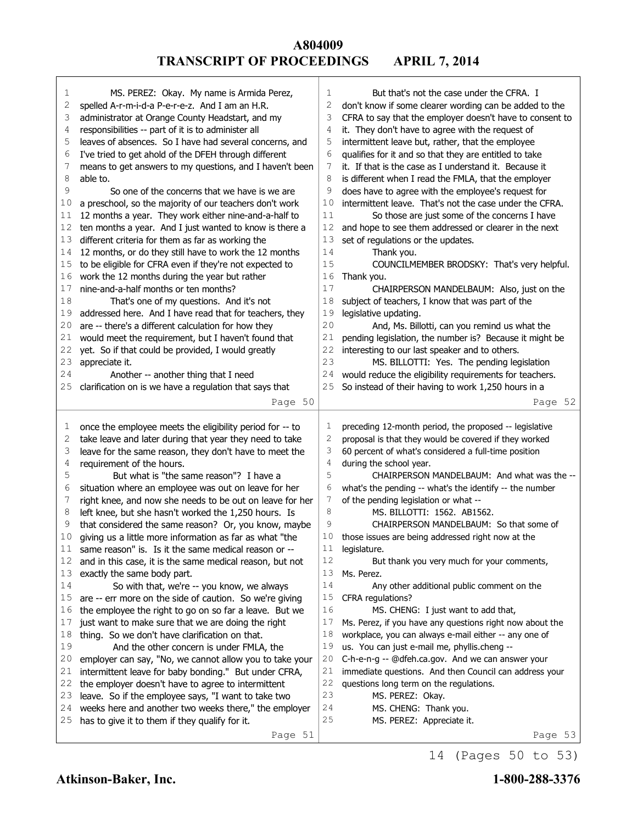| 1  | MS. PEREZ: Okay. My name is Armida Perez,                 | 1              | But that's not the case under the CFRA. I                |
|----|-----------------------------------------------------------|----------------|----------------------------------------------------------|
| 2  | spelled A-r-m-i-d-a P-e-r-e-z. And I am an H.R.           | 2              | don't know if some clearer wording can be added to the   |
| 3  | administrator at Orange County Headstart, and my          | 3              | CFRA to say that the employer doesn't have to consent to |
| 4  | responsibilities -- part of it is to administer all       | 4              | it. They don't have to agree with the request of         |
| 5  | leaves of absences. So I have had several concerns, and   | 5              | intermittent leave but, rather, that the employee        |
| 6  | I've tried to get ahold of the DFEH through different     | 6              | qualifies for it and so that they are entitled to take   |
| 7  | means to get answers to my questions, and I haven't been  | 7              | it. If that is the case as I understand it. Because it   |
| 8  | able to.                                                  | 8              | is different when I read the FMLA, that the employer     |
| 9  | So one of the concerns that we have is we are             | 9              | does have to agree with the employee's request for       |
| 10 | a preschool, so the majority of our teachers don't work   | 10             | intermittent leave. That's not the case under the CFRA.  |
| 11 | 12 months a year. They work either nine-and-a-half to     | 11             | So those are just some of the concerns I have            |
| 12 | ten months a year. And I just wanted to know is there a   | 12             | and hope to see them addressed or clearer in the next    |
| 13 | different criteria for them as far as working the         | 13             | set of regulations or the updates.                       |
| 14 | 12 months, or do they still have to work the 12 months    | 14             | Thank you.                                               |
| 15 | to be eligible for CFRA even if they're not expected to   | 15             | COUNCILMEMBER BRODSKY: That's very helpful.              |
| 16 | work the 12 months during the year but rather             | 16             | Thank you.                                               |
| 17 | nine-and-a-half months or ten months?                     | 17             | CHAIRPERSON MANDELBAUM: Also, just on the                |
| 18 | That's one of my questions. And it's not                  | 18             | subject of teachers, I know that was part of the         |
| 19 | addressed here. And I have read that for teachers, they   | 19             | legislative updating.                                    |
| 20 | are -- there's a different calculation for how they       | 20             | And, Ms. Billotti, can you remind us what the            |
| 21 | would meet the requirement, but I haven't found that      | 21             | pending legislation, the number is? Because it might be  |
| 22 | yet. So if that could be provided, I would greatly        | 22             | interesting to our last speaker and to others.           |
| 23 | appreciate it.                                            | 23             | MS. BILLOTTI: Yes. The pending legislation               |
| 24 | Another -- another thing that I need                      | 24             | would reduce the eligibility requirements for teachers.  |
| 25 | clarification on is we have a regulation that says that   | 25             | So instead of their having to work 1,250 hours in a      |
|    |                                                           |                |                                                          |
|    | Page 50                                                   |                | Page 52                                                  |
|    |                                                           |                |                                                          |
|    |                                                           |                |                                                          |
| 1  | once the employee meets the eligibility period for -- to  | 1              | preceding 12-month period, the proposed -- legislative   |
| 2  | take leave and later during that year they need to take   | $\overline{c}$ | proposal is that they would be covered if they worked    |
| 3  | leave for the same reason, they don't have to meet the    | 3              | 60 percent of what's considered a full-time position     |
| 4  | requirement of the hours.                                 | 4              | during the school year.                                  |
| 5  | But what is "the same reason"? I have a                   | 5              | CHAIRPERSON MANDELBAUM: And what was the --              |
| 6  | situation where an employee was out on leave for her      | 6              | what's the pending -- what's the identify -- the number  |
| 7  | right knee, and now she needs to be out on leave for her  | 7              | of the pending legislation or what --                    |
| 8  | left knee, but she hasn't worked the 1,250 hours. Is      | 8              | MS. BILLOTTI: 1562. AB1562.                              |
| 9  | that considered the same reason? Or, you know, maybe      | 9              | CHAIRPERSON MANDELBAUM: So that some of                  |
| 10 | giving us a little more information as far as what "the   | 10             | those issues are being addressed right now at the        |
| 11 | same reason" is. Is it the same medical reason or --      | 11             | legislature.                                             |
| 12 | and in this case, it is the same medical reason, but not  | 12             | But thank you very much for your comments,               |
| 13 | exactly the same body part.                               | 13             | Ms. Perez.                                               |
| 14 | So with that, we're -- you know, we always                | 14             | Any other additional public comment on the               |
| 15 | are -- err more on the side of caution. So we're giving   | 15             | CFRA regulations?                                        |
| 16 | the employee the right to go on so far a leave. But we    | 16             | MS. CHENG: I just want to add that,                      |
| 17 | just want to make sure that we are doing the right        | 17             | Ms. Perez, if you have any questions right now about the |
| 18 | thing. So we don't have clarification on that.            | 18             | workplace, you can always e-mail either -- any one of    |
| 19 | And the other concern is under FMLA, the                  | 19             | us. You can just e-mail me, phyllis.cheng --             |
| 20 | employer can say, "No, we cannot allow you to take your   | 20             | C-h-e-n-g -- @dfeh.ca.gov. And we can answer your        |
| 21 | intermittent leave for baby bonding." But under CFRA,     | 21             | immediate questions. And then Council can address your   |
| 22 | the employer doesn't have to agree to intermittent        | 22             | questions long term on the regulations.                  |
| 23 | leave. So if the employee says, "I want to take two       | 23             | MS. PEREZ: Okay.                                         |
| 24 | weeks here and another two weeks there," the employer     | 24             | MS. CHENG: Thank you.                                    |
| 25 | has to give it to them if they qualify for it.<br>Page 51 | $25$           | MS. PEREZ: Appreciate it.                                |

14 (Pages 50 to 53)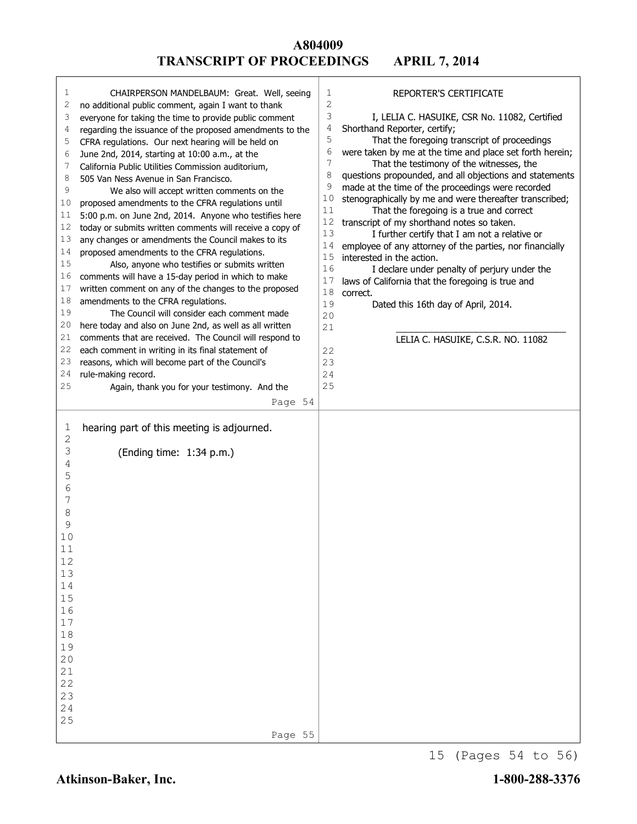| $\mathbf{2}$<br>2<br>no additional public comment, again I want to thank<br>3<br>I, LELIA C. HASUIKE, CSR No. 11082, Certified<br>3<br>everyone for taking the time to provide public comment<br>4<br>Shorthand Reporter, certify;<br>regarding the issuance of the proposed amendments to the<br>4<br>5<br>That the foregoing transcript of proceedings<br>5<br>CFRA regulations. Our next hearing will be held on<br>6<br>were taken by me at the time and place set forth herein;<br>June 2nd, 2014, starting at 10:00 a.m., at the<br>6<br>7<br>That the testimony of the witnesses, the<br>7<br>California Public Utilities Commission auditorium,<br>8<br>questions propounded, and all objections and statements<br>8<br>505 Van Ness Avenue in San Francisco.<br>9<br>made at the time of the proceedings were recorded<br>9<br>We also will accept written comments on the<br>10<br>stenographically by me and were thereafter transcribed;<br>proposed amendments to the CFRA regulations until<br>10<br>11<br>That the foregoing is a true and correct<br>5:00 p.m. on June 2nd, 2014. Anyone who testifies here<br>11<br>12<br>transcript of my shorthand notes so taken.<br>today or submits written comments will receive a copy of<br>12<br>13<br>I further certify that I am not a relative or<br>any changes or amendments the Council makes to its<br>13<br>14<br>employee of any attorney of the parties, nor financially<br>14<br>proposed amendments to the CFRA regulations.<br>15<br>interested in the action.<br>15<br>Also, anyone who testifies or submits written<br>16<br>I declare under penalty of perjury under the<br>comments will have a 15-day period in which to make<br>16<br>17<br>laws of California that the foregoing is true and<br>17<br>written comment on any of the changes to the proposed<br>18<br>correct.<br>18<br>amendments to the CFRA regulations.<br>19<br>Dated this 16th day of April, 2014.<br>19<br>The Council will consider each comment made<br>20<br>20<br>here today and also on June 2nd, as well as all written<br>21<br>21<br>comments that are received. The Council will respond to<br>LELIA C. HASUIKE, C.S.R. NO. 11082<br>22<br>each comment in writing in its final statement of<br>22<br>23<br>reasons, which will become part of the Council's<br>23<br>24<br>rule-making record.<br>24<br>25<br>25<br>Again, thank you for your testimony. And the<br>Page 54<br>hearing part of this meeting is adjourned.<br>1<br>2<br>З<br>(Ending time: 1:34 p.m.)<br>4<br>5<br>6<br>7<br>8<br>9<br>10<br>11<br>12<br>13<br>14<br>15<br>16<br>17<br>18<br>19<br>20<br>21<br>22<br>23<br>24<br>25<br>Page 55 | 1 | CHAIRPERSON MANDELBAUM: Great. Well, seeing | 1 | REPORTER'S CERTIFICATE |
|-----------------------------------------------------------------------------------------------------------------------------------------------------------------------------------------------------------------------------------------------------------------------------------------------------------------------------------------------------------------------------------------------------------------------------------------------------------------------------------------------------------------------------------------------------------------------------------------------------------------------------------------------------------------------------------------------------------------------------------------------------------------------------------------------------------------------------------------------------------------------------------------------------------------------------------------------------------------------------------------------------------------------------------------------------------------------------------------------------------------------------------------------------------------------------------------------------------------------------------------------------------------------------------------------------------------------------------------------------------------------------------------------------------------------------------------------------------------------------------------------------------------------------------------------------------------------------------------------------------------------------------------------------------------------------------------------------------------------------------------------------------------------------------------------------------------------------------------------------------------------------------------------------------------------------------------------------------------------------------------------------------------------------------------------------------------------------------------------------------------------------------------------------------------------------------------------------------------------------------------------------------------------------------------------------------------------------------------------------------------------------------------------------------------------------------------------------------------------------------------------------------------------------------------------------------------------------------------------------------------------------------------------------------------------------|---|---------------------------------------------|---|------------------------|
|                                                                                                                                                                                                                                                                                                                                                                                                                                                                                                                                                                                                                                                                                                                                                                                                                                                                                                                                                                                                                                                                                                                                                                                                                                                                                                                                                                                                                                                                                                                                                                                                                                                                                                                                                                                                                                                                                                                                                                                                                                                                                                                                                                                                                                                                                                                                                                                                                                                                                                                                                                                                                                                                             |   |                                             |   |                        |
|                                                                                                                                                                                                                                                                                                                                                                                                                                                                                                                                                                                                                                                                                                                                                                                                                                                                                                                                                                                                                                                                                                                                                                                                                                                                                                                                                                                                                                                                                                                                                                                                                                                                                                                                                                                                                                                                                                                                                                                                                                                                                                                                                                                                                                                                                                                                                                                                                                                                                                                                                                                                                                                                             |   |                                             |   |                        |
|                                                                                                                                                                                                                                                                                                                                                                                                                                                                                                                                                                                                                                                                                                                                                                                                                                                                                                                                                                                                                                                                                                                                                                                                                                                                                                                                                                                                                                                                                                                                                                                                                                                                                                                                                                                                                                                                                                                                                                                                                                                                                                                                                                                                                                                                                                                                                                                                                                                                                                                                                                                                                                                                             |   |                                             |   |                        |
|                                                                                                                                                                                                                                                                                                                                                                                                                                                                                                                                                                                                                                                                                                                                                                                                                                                                                                                                                                                                                                                                                                                                                                                                                                                                                                                                                                                                                                                                                                                                                                                                                                                                                                                                                                                                                                                                                                                                                                                                                                                                                                                                                                                                                                                                                                                                                                                                                                                                                                                                                                                                                                                                             |   |                                             |   |                        |
|                                                                                                                                                                                                                                                                                                                                                                                                                                                                                                                                                                                                                                                                                                                                                                                                                                                                                                                                                                                                                                                                                                                                                                                                                                                                                                                                                                                                                                                                                                                                                                                                                                                                                                                                                                                                                                                                                                                                                                                                                                                                                                                                                                                                                                                                                                                                                                                                                                                                                                                                                                                                                                                                             |   |                                             |   |                        |
|                                                                                                                                                                                                                                                                                                                                                                                                                                                                                                                                                                                                                                                                                                                                                                                                                                                                                                                                                                                                                                                                                                                                                                                                                                                                                                                                                                                                                                                                                                                                                                                                                                                                                                                                                                                                                                                                                                                                                                                                                                                                                                                                                                                                                                                                                                                                                                                                                                                                                                                                                                                                                                                                             |   |                                             |   |                        |
|                                                                                                                                                                                                                                                                                                                                                                                                                                                                                                                                                                                                                                                                                                                                                                                                                                                                                                                                                                                                                                                                                                                                                                                                                                                                                                                                                                                                                                                                                                                                                                                                                                                                                                                                                                                                                                                                                                                                                                                                                                                                                                                                                                                                                                                                                                                                                                                                                                                                                                                                                                                                                                                                             |   |                                             |   |                        |
|                                                                                                                                                                                                                                                                                                                                                                                                                                                                                                                                                                                                                                                                                                                                                                                                                                                                                                                                                                                                                                                                                                                                                                                                                                                                                                                                                                                                                                                                                                                                                                                                                                                                                                                                                                                                                                                                                                                                                                                                                                                                                                                                                                                                                                                                                                                                                                                                                                                                                                                                                                                                                                                                             |   |                                             |   |                        |
|                                                                                                                                                                                                                                                                                                                                                                                                                                                                                                                                                                                                                                                                                                                                                                                                                                                                                                                                                                                                                                                                                                                                                                                                                                                                                                                                                                                                                                                                                                                                                                                                                                                                                                                                                                                                                                                                                                                                                                                                                                                                                                                                                                                                                                                                                                                                                                                                                                                                                                                                                                                                                                                                             |   |                                             |   |                        |
|                                                                                                                                                                                                                                                                                                                                                                                                                                                                                                                                                                                                                                                                                                                                                                                                                                                                                                                                                                                                                                                                                                                                                                                                                                                                                                                                                                                                                                                                                                                                                                                                                                                                                                                                                                                                                                                                                                                                                                                                                                                                                                                                                                                                                                                                                                                                                                                                                                                                                                                                                                                                                                                                             |   |                                             |   |                        |
|                                                                                                                                                                                                                                                                                                                                                                                                                                                                                                                                                                                                                                                                                                                                                                                                                                                                                                                                                                                                                                                                                                                                                                                                                                                                                                                                                                                                                                                                                                                                                                                                                                                                                                                                                                                                                                                                                                                                                                                                                                                                                                                                                                                                                                                                                                                                                                                                                                                                                                                                                                                                                                                                             |   |                                             |   |                        |
|                                                                                                                                                                                                                                                                                                                                                                                                                                                                                                                                                                                                                                                                                                                                                                                                                                                                                                                                                                                                                                                                                                                                                                                                                                                                                                                                                                                                                                                                                                                                                                                                                                                                                                                                                                                                                                                                                                                                                                                                                                                                                                                                                                                                                                                                                                                                                                                                                                                                                                                                                                                                                                                                             |   |                                             |   |                        |
|                                                                                                                                                                                                                                                                                                                                                                                                                                                                                                                                                                                                                                                                                                                                                                                                                                                                                                                                                                                                                                                                                                                                                                                                                                                                                                                                                                                                                                                                                                                                                                                                                                                                                                                                                                                                                                                                                                                                                                                                                                                                                                                                                                                                                                                                                                                                                                                                                                                                                                                                                                                                                                                                             |   |                                             |   |                        |
|                                                                                                                                                                                                                                                                                                                                                                                                                                                                                                                                                                                                                                                                                                                                                                                                                                                                                                                                                                                                                                                                                                                                                                                                                                                                                                                                                                                                                                                                                                                                                                                                                                                                                                                                                                                                                                                                                                                                                                                                                                                                                                                                                                                                                                                                                                                                                                                                                                                                                                                                                                                                                                                                             |   |                                             |   |                        |
|                                                                                                                                                                                                                                                                                                                                                                                                                                                                                                                                                                                                                                                                                                                                                                                                                                                                                                                                                                                                                                                                                                                                                                                                                                                                                                                                                                                                                                                                                                                                                                                                                                                                                                                                                                                                                                                                                                                                                                                                                                                                                                                                                                                                                                                                                                                                                                                                                                                                                                                                                                                                                                                                             |   |                                             |   |                        |
|                                                                                                                                                                                                                                                                                                                                                                                                                                                                                                                                                                                                                                                                                                                                                                                                                                                                                                                                                                                                                                                                                                                                                                                                                                                                                                                                                                                                                                                                                                                                                                                                                                                                                                                                                                                                                                                                                                                                                                                                                                                                                                                                                                                                                                                                                                                                                                                                                                                                                                                                                                                                                                                                             |   |                                             |   |                        |
|                                                                                                                                                                                                                                                                                                                                                                                                                                                                                                                                                                                                                                                                                                                                                                                                                                                                                                                                                                                                                                                                                                                                                                                                                                                                                                                                                                                                                                                                                                                                                                                                                                                                                                                                                                                                                                                                                                                                                                                                                                                                                                                                                                                                                                                                                                                                                                                                                                                                                                                                                                                                                                                                             |   |                                             |   |                        |
|                                                                                                                                                                                                                                                                                                                                                                                                                                                                                                                                                                                                                                                                                                                                                                                                                                                                                                                                                                                                                                                                                                                                                                                                                                                                                                                                                                                                                                                                                                                                                                                                                                                                                                                                                                                                                                                                                                                                                                                                                                                                                                                                                                                                                                                                                                                                                                                                                                                                                                                                                                                                                                                                             |   |                                             |   |                        |
|                                                                                                                                                                                                                                                                                                                                                                                                                                                                                                                                                                                                                                                                                                                                                                                                                                                                                                                                                                                                                                                                                                                                                                                                                                                                                                                                                                                                                                                                                                                                                                                                                                                                                                                                                                                                                                                                                                                                                                                                                                                                                                                                                                                                                                                                                                                                                                                                                                                                                                                                                                                                                                                                             |   |                                             |   |                        |
|                                                                                                                                                                                                                                                                                                                                                                                                                                                                                                                                                                                                                                                                                                                                                                                                                                                                                                                                                                                                                                                                                                                                                                                                                                                                                                                                                                                                                                                                                                                                                                                                                                                                                                                                                                                                                                                                                                                                                                                                                                                                                                                                                                                                                                                                                                                                                                                                                                                                                                                                                                                                                                                                             |   |                                             |   |                        |
|                                                                                                                                                                                                                                                                                                                                                                                                                                                                                                                                                                                                                                                                                                                                                                                                                                                                                                                                                                                                                                                                                                                                                                                                                                                                                                                                                                                                                                                                                                                                                                                                                                                                                                                                                                                                                                                                                                                                                                                                                                                                                                                                                                                                                                                                                                                                                                                                                                                                                                                                                                                                                                                                             |   |                                             |   |                        |
|                                                                                                                                                                                                                                                                                                                                                                                                                                                                                                                                                                                                                                                                                                                                                                                                                                                                                                                                                                                                                                                                                                                                                                                                                                                                                                                                                                                                                                                                                                                                                                                                                                                                                                                                                                                                                                                                                                                                                                                                                                                                                                                                                                                                                                                                                                                                                                                                                                                                                                                                                                                                                                                                             |   |                                             |   |                        |
|                                                                                                                                                                                                                                                                                                                                                                                                                                                                                                                                                                                                                                                                                                                                                                                                                                                                                                                                                                                                                                                                                                                                                                                                                                                                                                                                                                                                                                                                                                                                                                                                                                                                                                                                                                                                                                                                                                                                                                                                                                                                                                                                                                                                                                                                                                                                                                                                                                                                                                                                                                                                                                                                             |   |                                             |   |                        |
|                                                                                                                                                                                                                                                                                                                                                                                                                                                                                                                                                                                                                                                                                                                                                                                                                                                                                                                                                                                                                                                                                                                                                                                                                                                                                                                                                                                                                                                                                                                                                                                                                                                                                                                                                                                                                                                                                                                                                                                                                                                                                                                                                                                                                                                                                                                                                                                                                                                                                                                                                                                                                                                                             |   |                                             |   |                        |
|                                                                                                                                                                                                                                                                                                                                                                                                                                                                                                                                                                                                                                                                                                                                                                                                                                                                                                                                                                                                                                                                                                                                                                                                                                                                                                                                                                                                                                                                                                                                                                                                                                                                                                                                                                                                                                                                                                                                                                                                                                                                                                                                                                                                                                                                                                                                                                                                                                                                                                                                                                                                                                                                             |   |                                             |   |                        |
|                                                                                                                                                                                                                                                                                                                                                                                                                                                                                                                                                                                                                                                                                                                                                                                                                                                                                                                                                                                                                                                                                                                                                                                                                                                                                                                                                                                                                                                                                                                                                                                                                                                                                                                                                                                                                                                                                                                                                                                                                                                                                                                                                                                                                                                                                                                                                                                                                                                                                                                                                                                                                                                                             |   |                                             |   |                        |
|                                                                                                                                                                                                                                                                                                                                                                                                                                                                                                                                                                                                                                                                                                                                                                                                                                                                                                                                                                                                                                                                                                                                                                                                                                                                                                                                                                                                                                                                                                                                                                                                                                                                                                                                                                                                                                                                                                                                                                                                                                                                                                                                                                                                                                                                                                                                                                                                                                                                                                                                                                                                                                                                             |   |                                             |   |                        |
|                                                                                                                                                                                                                                                                                                                                                                                                                                                                                                                                                                                                                                                                                                                                                                                                                                                                                                                                                                                                                                                                                                                                                                                                                                                                                                                                                                                                                                                                                                                                                                                                                                                                                                                                                                                                                                                                                                                                                                                                                                                                                                                                                                                                                                                                                                                                                                                                                                                                                                                                                                                                                                                                             |   |                                             |   |                        |
|                                                                                                                                                                                                                                                                                                                                                                                                                                                                                                                                                                                                                                                                                                                                                                                                                                                                                                                                                                                                                                                                                                                                                                                                                                                                                                                                                                                                                                                                                                                                                                                                                                                                                                                                                                                                                                                                                                                                                                                                                                                                                                                                                                                                                                                                                                                                                                                                                                                                                                                                                                                                                                                                             |   |                                             |   |                        |
|                                                                                                                                                                                                                                                                                                                                                                                                                                                                                                                                                                                                                                                                                                                                                                                                                                                                                                                                                                                                                                                                                                                                                                                                                                                                                                                                                                                                                                                                                                                                                                                                                                                                                                                                                                                                                                                                                                                                                                                                                                                                                                                                                                                                                                                                                                                                                                                                                                                                                                                                                                                                                                                                             |   |                                             |   |                        |
|                                                                                                                                                                                                                                                                                                                                                                                                                                                                                                                                                                                                                                                                                                                                                                                                                                                                                                                                                                                                                                                                                                                                                                                                                                                                                                                                                                                                                                                                                                                                                                                                                                                                                                                                                                                                                                                                                                                                                                                                                                                                                                                                                                                                                                                                                                                                                                                                                                                                                                                                                                                                                                                                             |   |                                             |   |                        |
|                                                                                                                                                                                                                                                                                                                                                                                                                                                                                                                                                                                                                                                                                                                                                                                                                                                                                                                                                                                                                                                                                                                                                                                                                                                                                                                                                                                                                                                                                                                                                                                                                                                                                                                                                                                                                                                                                                                                                                                                                                                                                                                                                                                                                                                                                                                                                                                                                                                                                                                                                                                                                                                                             |   |                                             |   |                        |
|                                                                                                                                                                                                                                                                                                                                                                                                                                                                                                                                                                                                                                                                                                                                                                                                                                                                                                                                                                                                                                                                                                                                                                                                                                                                                                                                                                                                                                                                                                                                                                                                                                                                                                                                                                                                                                                                                                                                                                                                                                                                                                                                                                                                                                                                                                                                                                                                                                                                                                                                                                                                                                                                             |   |                                             |   |                        |
|                                                                                                                                                                                                                                                                                                                                                                                                                                                                                                                                                                                                                                                                                                                                                                                                                                                                                                                                                                                                                                                                                                                                                                                                                                                                                                                                                                                                                                                                                                                                                                                                                                                                                                                                                                                                                                                                                                                                                                                                                                                                                                                                                                                                                                                                                                                                                                                                                                                                                                                                                                                                                                                                             |   |                                             |   |                        |
|                                                                                                                                                                                                                                                                                                                                                                                                                                                                                                                                                                                                                                                                                                                                                                                                                                                                                                                                                                                                                                                                                                                                                                                                                                                                                                                                                                                                                                                                                                                                                                                                                                                                                                                                                                                                                                                                                                                                                                                                                                                                                                                                                                                                                                                                                                                                                                                                                                                                                                                                                                                                                                                                             |   |                                             |   |                        |
|                                                                                                                                                                                                                                                                                                                                                                                                                                                                                                                                                                                                                                                                                                                                                                                                                                                                                                                                                                                                                                                                                                                                                                                                                                                                                                                                                                                                                                                                                                                                                                                                                                                                                                                                                                                                                                                                                                                                                                                                                                                                                                                                                                                                                                                                                                                                                                                                                                                                                                                                                                                                                                                                             |   |                                             |   |                        |
|                                                                                                                                                                                                                                                                                                                                                                                                                                                                                                                                                                                                                                                                                                                                                                                                                                                                                                                                                                                                                                                                                                                                                                                                                                                                                                                                                                                                                                                                                                                                                                                                                                                                                                                                                                                                                                                                                                                                                                                                                                                                                                                                                                                                                                                                                                                                                                                                                                                                                                                                                                                                                                                                             |   |                                             |   |                        |
|                                                                                                                                                                                                                                                                                                                                                                                                                                                                                                                                                                                                                                                                                                                                                                                                                                                                                                                                                                                                                                                                                                                                                                                                                                                                                                                                                                                                                                                                                                                                                                                                                                                                                                                                                                                                                                                                                                                                                                                                                                                                                                                                                                                                                                                                                                                                                                                                                                                                                                                                                                                                                                                                             |   |                                             |   |                        |
|                                                                                                                                                                                                                                                                                                                                                                                                                                                                                                                                                                                                                                                                                                                                                                                                                                                                                                                                                                                                                                                                                                                                                                                                                                                                                                                                                                                                                                                                                                                                                                                                                                                                                                                                                                                                                                                                                                                                                                                                                                                                                                                                                                                                                                                                                                                                                                                                                                                                                                                                                                                                                                                                             |   |                                             |   |                        |
|                                                                                                                                                                                                                                                                                                                                                                                                                                                                                                                                                                                                                                                                                                                                                                                                                                                                                                                                                                                                                                                                                                                                                                                                                                                                                                                                                                                                                                                                                                                                                                                                                                                                                                                                                                                                                                                                                                                                                                                                                                                                                                                                                                                                                                                                                                                                                                                                                                                                                                                                                                                                                                                                             |   |                                             |   |                        |
|                                                                                                                                                                                                                                                                                                                                                                                                                                                                                                                                                                                                                                                                                                                                                                                                                                                                                                                                                                                                                                                                                                                                                                                                                                                                                                                                                                                                                                                                                                                                                                                                                                                                                                                                                                                                                                                                                                                                                                                                                                                                                                                                                                                                                                                                                                                                                                                                                                                                                                                                                                                                                                                                             |   |                                             |   |                        |
|                                                                                                                                                                                                                                                                                                                                                                                                                                                                                                                                                                                                                                                                                                                                                                                                                                                                                                                                                                                                                                                                                                                                                                                                                                                                                                                                                                                                                                                                                                                                                                                                                                                                                                                                                                                                                                                                                                                                                                                                                                                                                                                                                                                                                                                                                                                                                                                                                                                                                                                                                                                                                                                                             |   |                                             |   |                        |
|                                                                                                                                                                                                                                                                                                                                                                                                                                                                                                                                                                                                                                                                                                                                                                                                                                                                                                                                                                                                                                                                                                                                                                                                                                                                                                                                                                                                                                                                                                                                                                                                                                                                                                                                                                                                                                                                                                                                                                                                                                                                                                                                                                                                                                                                                                                                                                                                                                                                                                                                                                                                                                                                             |   |                                             |   |                        |
|                                                                                                                                                                                                                                                                                                                                                                                                                                                                                                                                                                                                                                                                                                                                                                                                                                                                                                                                                                                                                                                                                                                                                                                                                                                                                                                                                                                                                                                                                                                                                                                                                                                                                                                                                                                                                                                                                                                                                                                                                                                                                                                                                                                                                                                                                                                                                                                                                                                                                                                                                                                                                                                                             |   |                                             |   |                        |
|                                                                                                                                                                                                                                                                                                                                                                                                                                                                                                                                                                                                                                                                                                                                                                                                                                                                                                                                                                                                                                                                                                                                                                                                                                                                                                                                                                                                                                                                                                                                                                                                                                                                                                                                                                                                                                                                                                                                                                                                                                                                                                                                                                                                                                                                                                                                                                                                                                                                                                                                                                                                                                                                             |   |                                             |   |                        |
|                                                                                                                                                                                                                                                                                                                                                                                                                                                                                                                                                                                                                                                                                                                                                                                                                                                                                                                                                                                                                                                                                                                                                                                                                                                                                                                                                                                                                                                                                                                                                                                                                                                                                                                                                                                                                                                                                                                                                                                                                                                                                                                                                                                                                                                                                                                                                                                                                                                                                                                                                                                                                                                                             |   |                                             |   |                        |
|                                                                                                                                                                                                                                                                                                                                                                                                                                                                                                                                                                                                                                                                                                                                                                                                                                                                                                                                                                                                                                                                                                                                                                                                                                                                                                                                                                                                                                                                                                                                                                                                                                                                                                                                                                                                                                                                                                                                                                                                                                                                                                                                                                                                                                                                                                                                                                                                                                                                                                                                                                                                                                                                             |   |                                             |   |                        |
|                                                                                                                                                                                                                                                                                                                                                                                                                                                                                                                                                                                                                                                                                                                                                                                                                                                                                                                                                                                                                                                                                                                                                                                                                                                                                                                                                                                                                                                                                                                                                                                                                                                                                                                                                                                                                                                                                                                                                                                                                                                                                                                                                                                                                                                                                                                                                                                                                                                                                                                                                                                                                                                                             |   |                                             |   |                        |
|                                                                                                                                                                                                                                                                                                                                                                                                                                                                                                                                                                                                                                                                                                                                                                                                                                                                                                                                                                                                                                                                                                                                                                                                                                                                                                                                                                                                                                                                                                                                                                                                                                                                                                                                                                                                                                                                                                                                                                                                                                                                                                                                                                                                                                                                                                                                                                                                                                                                                                                                                                                                                                                                             |   |                                             |   |                        |
|                                                                                                                                                                                                                                                                                                                                                                                                                                                                                                                                                                                                                                                                                                                                                                                                                                                                                                                                                                                                                                                                                                                                                                                                                                                                                                                                                                                                                                                                                                                                                                                                                                                                                                                                                                                                                                                                                                                                                                                                                                                                                                                                                                                                                                                                                                                                                                                                                                                                                                                                                                                                                                                                             |   |                                             |   |                        |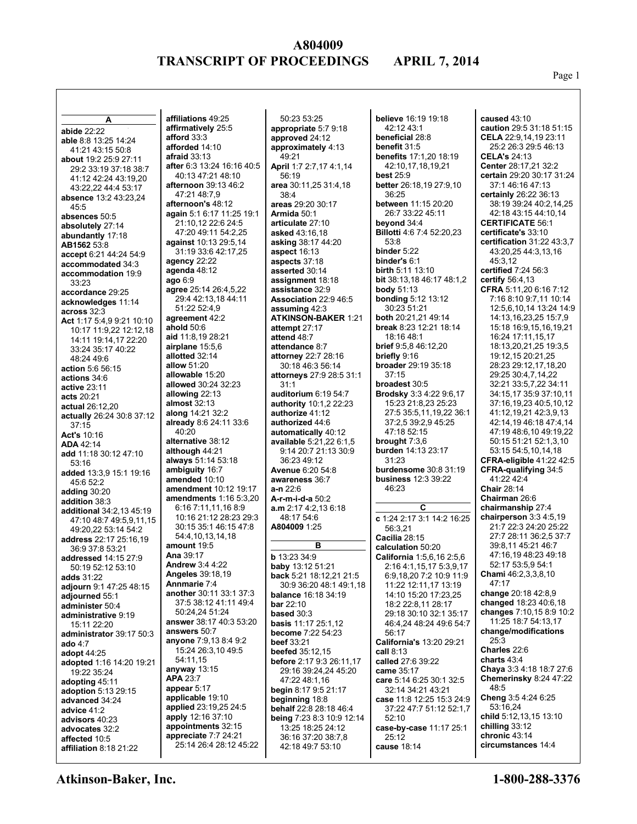Page 1

| A                                              | affiliations 49:25                            | 50:23 53:25                                            | believe 16:19 19:18                            | caused $43:10$                                           |
|------------------------------------------------|-----------------------------------------------|--------------------------------------------------------|------------------------------------------------|----------------------------------------------------------|
| abide 22:22                                    | affirmatively 25:5                            | appropriate 5:7 9:18                                   | 42:12 43:1                                     | caution 29:5 31:18 51:15                                 |
| able 8:8 13:25 14:24                           | afford 33:3                                   | approved 24:12                                         | beneficial 28:8                                | CELA 22:9,14,19 23:11                                    |
| 41:21 43:15 50:8                               | afforded 14:10                                | approximately 4:13                                     | benefit 31:5                                   | 25:2 26:3 29:5 46:13                                     |
| about 19:2 25:9 27:11                          | afraid $33:13$                                | 49:21                                                  | benefits 17:1,20 18:19                         | <b>CELA's 24:13</b>                                      |
| 29:2 33:19 37:18 38:7                          | after 6:3 13:24 16:16 40:5                    | April 1:7 2:7,17 4:1,14                                | 42:10,17,18,19,21                              | Center 28:17,21 32:2                                     |
| 41:12 42:24 43:19,20                           | 40:13 47:21 48:10                             | 56:19                                                  | best $25:9$                                    | certain 29:20 30:17 31:24                                |
| 43:22,22 44:4 53:17                            | afternoon 39:13 46:2                          | area 30:11,25 31:4,18<br>38:4                          | better 26:18,19 27:9,10<br>36:25               | 37:1 46:16 47:13                                         |
| absence 13:2 43:23,24                          | 47:21 48:7,9<br>afternoon's 48:12             | areas 29:20 30:17                                      | between 11:15 20:20                            | certainly 26:22 36:13<br>38:19 39:24 40:2,14,25          |
| 45:5                                           | again 5:1 6:17 11:25 19:1                     | Armida 50:1                                            | 26:7 33:22 45:11                               | 42:18 43:15 44:10.14                                     |
| absences 50:5                                  | 21:10,12 22:6 24:5                            | articulate 27:10                                       | beyond 34:4                                    | <b>CERTIFICATE 56:1</b>                                  |
| absolutely 27:14<br>abundantly 17:18           | 47:20 49:11 54:2,25                           | asked 43:16,18                                         | <b>Billotti</b> 4:6 7:4 52:20,23               | certificate's 33:10                                      |
| AB1562 53:8                                    | against 10:13 29:5,14                         | asking 38:17 44:20                                     | 53:8                                           | <b>certification 31:22 43:3.7</b>                        |
| accept 6:21 44:24 54:9                         | 31:19 33:6 42:17,25                           | aspect 16:13                                           | binder 5:22                                    | 43:20,25 44:3,13,16                                      |
| accommodated 34:3                              | agency $22:22$                                | aspects $37:18$                                        | binder's 6:1                                   | 45:3.12                                                  |
| accommodation 19:9                             | agenda $48:12$                                | asserted 30:14                                         | <b>birth</b> 5:11 13:10                        | certified 7:24 56:3                                      |
| 33:23                                          | ago $6:9$                                     | assignment 18:18                                       | <b>bit</b> 38:13,18 46:17 48:1,2               | certify $56:4,13$                                        |
| accordance 29:25                               | agree 25:14 26:4,5,22                         | assistance 32:9                                        | body $51:13$                                   | CFRA 5:11,20 6:16 7:12                                   |
| acknowledges 11:14                             | 29:4 42:13,18 44:11<br>51:22 52:4,9           | Association 22:9 46:5                                  | <b>bonding</b> $5:12$ $13:12$<br>30:23 51:21   | 7:16 8:10 9:7,11 10:14<br>12:5,6,10,14 13:24 14:9        |
| across 32:3                                    | agreement 42:2                                | assuming 42:3<br><b>ATKINSON-BAKER 1:21</b>            | both 20:21,21 49:14                            | 14:13,16,23,25 15:7,9                                    |
| Act 1:17 5:4,9 9:21 10:10                      | ahold 50:6                                    | attempt $27:17$                                        | break 8:23 12:21 18:14                         | 15:18 16:9,15,16,19,21                                   |
| 10:17 11:9,22 12:12,18<br>14:11 19:14,17 22:20 | aid 11:8,19 28:21                             | attend 48:7                                            | 18:16 48:1                                     | 16:24 17:11,15,17                                        |
| 33:24 35:17 40:22                              | airplane $15:5,6$                             | attendance 8:7                                         | <b>brief</b> 9:5,8 46:12,20                    | 18:13,20,21,25 19:3,5                                    |
| 48:24 49:6                                     | allotted 32:14                                | attorney 22:7 28:16                                    | briefly 9:16                                   | 19:12,15 20:21,25                                        |
| action 5:6 56:15                               | allow 51:20                                   | 30:18 46:3 56:14                                       | <b>broader</b> 29:19 35:18                     | 28:23 29:12,17,18,20                                     |
| actions 34:6                                   | allowable 15:20                               | attorneys 27:9 28:5 31:1                               | 37:15                                          | 29:25 30:4,7,14,22                                       |
| active 23:11                                   | allowed 30:24 32:23                           | 31:1                                                   | broadest 30:5                                  | 32:21 33:5,7,22 34:11                                    |
| acts 20:21                                     | allowing 22:13                                | auditorium 6:19 54:7                                   | Brodsky 3:3 4:22 9:6,17                        | 34:15,17 35:9 37:10,11                                   |
| actual 26:12,20                                | almost $32:13$<br>along 14:21 32:2            | authority 10:1,2 22:23<br>authorize 41:12              | 15:23 21:8,23 25:23<br>27:5 35:5,11,19,22 36:1 | 37:16,19,23 40:5,10,12<br>41:12,19,21 42:3,9,13          |
| actually 26:24 30:8 37:12                      | already 8:6 24:11 33:6                        | authorized 44:6                                        | 37:2,5 39:2,9 45:25                            | 42:14,19 46:18 47:4,14                                   |
| 37:15                                          | 40:20                                         | automatically 40:12                                    | 47:18 52:15                                    | 47:19 48:6,10 49:19,22                                   |
| <b>Act's 10:16</b><br><b>ADA 42:14</b>         | alternative 38:12                             | available 5:21,22 6:1,5                                | brought $7:3,6$                                | 50:15 51:21 52:1,3,10                                    |
| add 11:18 30:12 47:10                          | although 44:21                                | 9:14 20:7 21:13 30:9                                   | burden 14:13 23:17                             | 53:15 54:5,10,14,18                                      |
| 53:16                                          | always 51:14 53:18                            | 36:23 49:12                                            | 31:23                                          | CFRA-eligible $41:22$ 42:5                               |
| added 13:3,9 15:1 19:16                        | ambiguity 16:7                                | Avenue 6:20 54:8                                       | <b>burdensome</b> 30:8 31:19                   | CFRA-qualifying 34:5                                     |
| 45:6 52:2                                      | amended 10:10                                 | awareness 36:7                                         | <b>business</b> 12:3 39:22                     | 41:22 42:4                                               |
| adding $30:20$                                 | amendment 10:12 19:17                         | <b>a-n</b> 22:6                                        | 46:23                                          | Chair 28:14                                              |
| addition 38:3                                  | <b>amendments</b> 1:16 5:3,20                 | <b>A-r-m-i-d-a</b> 50:2                                | C                                              | Chairman 26:6<br>chairmanship 27:4                       |
| additional 34:2,13 45:19                       | 6:16 7:11,11,16 8:9<br>10:16 21:12 28:23 29:3 | <b>a.m</b> 2:17 4:2,13 6:18<br>48:17 54:6              |                                                | chairperson $3:34:5,19$                                  |
| 47:10 48:7 49:5,9,11,15                        | 30:15 35:1 46:15 47:8                         | A804009 1:25                                           | c 1:24 2:17 3:1 14:2 16:25<br>56:3,21          | 21:7 22:3 24:20 25:22                                    |
| 49:20,22 53:14 54:2                            | 54:4, 10, 13, 14, 18                          |                                                        | Cacilia 28:15                                  | 27:7 28:11 36:2,5 37:7                                   |
| address 22:17 25:16,19<br>36:9 37:8 53:21      | amount 19:5                                   | в                                                      | calculation 50:20                              | 39:8,11 45:21 46:7                                       |
| addressed 14:15 27:9                           | <b>Ana</b> 39:17                              | <b>b</b> 13:23 34:9                                    | <b>California</b> 1:5,6,16 2:5,6               | 47:16,19 48:23 49:18                                     |
| 50:19 52:12 53:10                              | <b>Andrew 3:4 4:22</b>                        | <b>baby</b> 13:12 51:21                                | 2:16 4:1.15.17 5:3.9.17                        | 52:17 53:5,9 54:1                                        |
| <b>adds</b> 31:22                              | <b>Angeles</b> 39:18,19                       | <b>back</b> 5:21 18:12,21 21:5                         | 6:9,18,20 7:2 10:9 11:9                        | Chami 46:2,3,3,8,10                                      |
| adjourn 9:1 47:25 48:15                        | Annmarie 7:4                                  | 30:9 36:20 48:1 49:1,18                                | 11:22 12:11,17 13:19                           | 47:17                                                    |
| adjourned 55:1                                 | another 30:11 33:1 37:3                       | <b>balance</b> 16:18 34:19                             | 14:10 15:20 17:23,25                           | change 20:18 42:8,9                                      |
| administer 50:4                                | 37:5 38:12 41:11 49:4<br>50:24,24 51:24       | <b>bar</b> 22:10                                       | 18:2 22:8,11 28:17                             | <b>changed</b> 18:23 40:6,18<br>changes 7:10,15 8:9 10:2 |
| administrative 9:19                            | answer 38:17 40:3 53:20                       | based $30:3$                                           | 29:18 30:10 32:1 35:17                         | 11:25 18:7 54:13,17                                      |
| 15:11 22:20                                    | answers 50:7                                  | <b>basis</b> 11:17 25:1,12<br><b>become</b> 7:22 54:23 | 46:4,24 48:24 49:6 54:7<br>56:17               | change/modifications                                     |
| administrator 39:17 50:3<br>ado 4:7            | anyone 7:9,13 8:4 9:2                         | beef 33:21                                             | California's 13:20 29:21                       | 25:3                                                     |
| adopt 44:25                                    | 15:24 26:3,10 49:5                            | beefed $35:12,15$                                      | call $8:13$                                    | Charles 22:6                                             |
| adopted 1:16 14:20 19:21                       | 54:11,15                                      | <b>before</b> 2:17 9:3 26:11,17                        | called 27:6 39:22                              | charts $43:4$                                            |
| 19:22 35:24                                    | anyway $13:15$                                | 29:16 39:24,24 45:20                                   | <b>came</b> 35:17                              | Chaya 3:3 4:18 18:7 27:6                                 |
| adopting 45:11                                 | <b>APA 23:7</b>                               | 47:22 48:1,16                                          | care 5:14 6:25 30:1 32:5                       | Chemerinsky 8:24 47:22                                   |
| <b>adoption</b> 5:13 29:15                     | appear 5:17                                   | begin 8:17 9:5 21:17                                   | 32:14 34:21 43:21                              | 48:5                                                     |
| advanced 34:24                                 | applicable 19:10                              | beginning 18:8                                         | case 11:8 12:25 15:3 24:9                      | Cheng 3:5 4:24 6:25                                      |
| advice 41:2                                    | applied 23:19,25 24:5<br>apply 12:16 37:10    | <b>behalf</b> 22:8 28:18 46:4                          | 37:22 47:7 51:12 52:1,7                        | 53:16,24<br>child 5:12,13,15 13:10                       |
| advisors 40:23                                 | appointments 32:15                            | being 7:23 8:3 10:9 12:14                              | 52:10                                          | chilling $33:12$                                         |
| advocates 32:2                                 | appreciate $7:724:21$                         | 13:25 18:25 24:12<br>36:16 37:20 38:7,8                | case-by-case 11:17 25:1<br>25:12               | chronic 43:14                                            |
| affected 10:5<br>affiliation $8:1821:22$       | 25:14 26:4 28:12 45:22                        | 42:18 49:7 53:10                                       | cause 18:14                                    | circumstances 14:4                                       |
|                                                |                                               |                                                        |                                                |                                                          |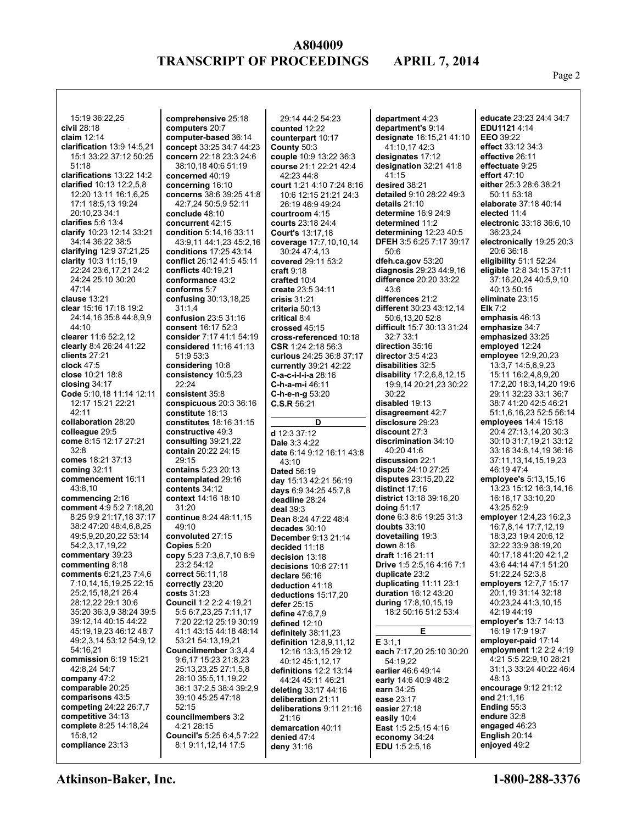Page 2

| 15:19 36:22,25                                        | comprehensive 25:18                          | 29:14 44:2 54:23                                   | department 4:23                                          | educate 23:23 24:4 34:7                           |
|-------------------------------------------------------|----------------------------------------------|----------------------------------------------------|----------------------------------------------------------|---------------------------------------------------|
| civil 28:18                                           | computers 20:7                               | counted 12:22                                      | department's 9:14                                        | EDU1121 4:14                                      |
| claim $12:14$                                         | computer-based 36:14                         | counterpart 10:17                                  | designate 16:15,21 41:10                                 | EEO 39:22                                         |
| clarification $13:9$ 14:5,21                          | concept 33:25 34:7 44:23                     | County 50:3                                        | 41:10,17 42:3                                            | effect 33:12 34:3                                 |
| 15:1 33:22 37:12 50:25                                | concern 22:18 23:3 24:6                      | couple 10:9 13:22 36:3                             | designates 17:12                                         | effective 26:11                                   |
| 51:18                                                 | 38:10,18 40:6 51:19                          | course 21:1 22:21 42:4                             | designation 32:21 41:8                                   | effectuate 9:25                                   |
| clarifications 13:22 14:2<br>clarified 10:13 12:2,5,8 | concerned 40:19                              | 42:23 44:8                                         | 41:15                                                    | effort $47:10$<br>either 25:3 28:6 38:21          |
| 12:20 13:11 16:1,6,25                                 | concerning 16:10<br>concerns 38:6 39:25 41:8 | court 1:21 4:10 7:24 8:16<br>10:6 12:15 21:21 24:3 | desired 38:21<br>detailed 9:10 28:22 49:3                | 50:11 53:18                                       |
| 17:1 18:5,13 19:24                                    | 42:7,24 50:5,9 52:11                         | 26:19 46:9 49:24                                   | details $21:10$                                          | elaborate 37:18 40:14                             |
| 20:10,23 34:1                                         | conclude 48:10                               | courtroom 4:15                                     | determine 16:9 24:9                                      | elected 11:4                                      |
| clarifies $5:6$ 13:4                                  | concurrent 42:15                             | courts 23:18 24:4                                  | determined 11:2                                          | electronic 33:18 36:6,10                          |
| clarify 10:23 12:14 33:21                             | condition 5:14,16 33:11                      | <b>Court's 13:17,18</b>                            | determining $12:23$ 40:5                                 | 36:23,24                                          |
| 34:14 36:22 38:5                                      | 43:9,11 44:1,23 45:2,16                      | coverage 17:7,10,10,14                             | <b>DFEH 3:5 6:25 7:17 39:17</b>                          | electronically 19:25 20:3                         |
| clarifying $12:937:21,25$                             | conditions $17:2543:14$                      | 30:24 47:4.13                                      | 50:6                                                     | 20:6 36:18                                        |
| clarity $10:3$ 11:15,19                               | conflict 26:12 41:5 45:11                    | covered 29:11 53:2                                 | dfeh.ca.gov 53:20                                        | eligibility $51:1$ 52:24                          |
| 22:24 23:6,17,21 24:2                                 | conflicts $40:19.21$                         | craft 9:18                                         | <b>diagnosis</b> 29:23 44:9,16<br>difference 20:20 33:22 | eligible 12:8 34:15 37:11                         |
| 24:24 25:10 30:20<br>47:14                            | conformance 43:2<br>conforms 5:7             | crafted 10:4<br>create 23:5 34:11                  | 43:6                                                     | 37:16,20,24 40:5,9,10<br>40:13 50:15              |
| clause 13:21                                          | confusing 30:13,18,25                        | crisis $31:21$                                     | differences 21:2                                         | eliminate 23:15                                   |
| clear 15:16 17:18 19:2                                | 31:1.4                                       | criteria 50:13                                     | different 30:23 43:12,14                                 | Elk $7:2$                                         |
| 24:14.16 35:8 44:8.9.9                                | confusion 23:5 31:16                         | critical 8:4                                       | 50:6,13,20 52:8                                          | emphasis 46:13                                    |
| 44:10                                                 | consent 16:17 52:3                           | crossed 45:15                                      | difficult 15:7 30:13 31:24                               | emphasize 34:7                                    |
| clearer 11:6 52:2,12                                  | consider 7:17 41:1 54:19                     | cross-referenced 10:18                             | 32:733:1                                                 | emphasized 33:25                                  |
| clearly 8:4 26:24 41:22                               | considered 11:16 41:13                       | CSR 1:24 2:18 56:3                                 | direction 35:16                                          | employed 12:24                                    |
| clients $27:21$                                       | 51:9 53:3                                    | curious 24:25 36:8 37:17                           | director $3:54:23$                                       | employee $12:9,20,23$                             |
| clock $47:5$                                          | considering 10:8                             | currently 39:21 42:22                              | disabilities 32:5                                        | 13:3,7 14:5,6,9,23                                |
| close 10:21 18:8                                      | consistency 10:5,23<br>22:24                 | C-a-c-i-l-i-a 28:16                                | disability $17:2.6.8,12.15$                              | 15:11 16:2,4,8,9,20                               |
| closing $34:17$<br>Code 5:10,18 11:14 12:11           | consistent 35:8                              | <b>C-h-a-m-i</b> 46:11<br>$C-h-e-n-g 53:20$        | 19:9,14 20:21,23 30:22<br>30:22                          | 29:11 32:23 33:1 36:7                             |
| 12:17 15:21 22:21                                     | conspicuous 20:3 36:16                       | C.S.R.56:21                                        | disabled 19:13                                           | 38:7 41:20 42:5 46:21                             |
| 42:11                                                 | constitute 18:13                             |                                                    | disagreement 42:7                                        | 51:1,6,16,23 52:5 56:14                           |
| collaboration 28:20                                   | constitutes 18:16 31:15                      | D                                                  | <b>disclosure</b> 29:23                                  | employees $14:4$ 15:18                            |
| colleague 29:5                                        | constructive 49:3                            | d 12:3 37:12                                       | discount 27:3                                            | 20:4 27:13,14,20 30:3                             |
| come 8:15 12:17 27:21                                 | consulting $39:21,22$                        | Dale 3:3 4:22                                      | discrimination 34:10                                     | 30:10 31:7,19,21 33:12                            |
| 32:8                                                  | contain 20:22 24:15                          | date 6:14 9:12 16:11 43:8                          | 40:20 41:6                                               | 33:16 34:8,14,19 36:16                            |
| comes 18:21 37:13                                     | 29:15                                        | 43:10                                              | discussion 22:1                                          | 37:11,13,14,15,19,23                              |
| coming $32:11$                                        | <b>contains 5:23 20:13</b>                   | <b>Dated 56:19</b>                                 | dispute 24:10 27:25                                      | 46:19 47:4                                        |
| commencement 16:11<br>43:8,10                         | contemplated 29:16<br>contents 34:12         | day 15:13 42:21 56:19                              | <b>disputes</b> 23:15,20,22<br>distinct 17:16            | employee's 5:13,15,16<br>13:23 15:12 16:3,14,16   |
| commencing 2:16                                       | context 14:16 18:10                          | days 6:9 34:25 45:7,8<br>deadline 28:24            | district 13:18 39:16,20                                  | 16:16,17 33:10,20                                 |
| comment 4:9 5:2 7:18,20                               | 31:20                                        | deal $39:3$                                        | doing $51:17$                                            | 43:25 52:9                                        |
| 8:25 9:9 21:17,18 37:17                               | continue 8:24 48:11,15                       | Dean 8:24 47:22 48:4                               | done 6:3 8:6 19:25 31:3                                  | employer 12:4,23 16:2,3                           |
| 38:2 47:20 48:4,6,8,25                                | 49:10                                        | decades 30:10                                      | doubts $33:10$                                           | 16:7,8,14 17:7,12,19                              |
| 49:5,9,20,20,22 53:14                                 | convoluted 27:15                             | <b>December 9:13 21:14</b>                         | dovetailing 19:3                                         | 18:3,23 19:4 20:6,12                              |
| 54:2,3,17,19,22                                       | Copies 5:20                                  | decided 11:18                                      | down 8:16                                                | 32:22 33:9 38:19,20                               |
| commentary 39:23                                      | copy 5:23 7:3,6,7,10 8:9                     | decision 13:18                                     | <b>draft</b> 1:16 21:11                                  | 40:17,18 41:20 42:1,2                             |
| commenting 8:18<br>comments 6:21,23 7:4,6             | 23:2 54:12<br>correct 56:11,18               | decisions $10:627:11$                              | <b>Drive</b> 1:5 2:5,16 4:16 7:1<br>duplicate 23:2       | 43:6 44:14 47:1 51:20<br>51:22,24 52:3,8          |
| 7:10.14.15.19.25 22:15                                | correctly 23:20                              | declare 56:16                                      | duplicating $11:11$ 23:1                                 | employers 12:7,7 15:17                            |
| 25:2,15,18,21 26:4                                    | costs 31:23                                  | deduction 41:18<br>deductions 15:17,20             | <b>duration</b> 16:12 43:20                              | 20:1,19 31:14 32:18                               |
| 28:12,22 29:1 30:6                                    | Council 1:2 2:2 4:19,21                      | defer $25:15$                                      | during 17:8,10,15,19                                     | 40:23,24 41:3,10,15                               |
| 35:20 36:3,9 38:24 39:5                               | 5:5 6:7,23,25 7:11,17                        | define $47:6,7,9$                                  | 18:2 50:16 51:2 53:4                                     | 42:19 44:19                                       |
| 39:12,14 40:15 44:22                                  | 7:20 22:12 25:19 30:19                       | defined 12:10                                      |                                                          | employer's 13:7 14:13                             |
| 45:19,19,23 46:12 48:7                                | 41:1 43:15 44:18 48:14                       | definitely 38:11,23                                | Е                                                        | 16:19 17:9 19:7                                   |
| 49:2,3,14 53:12 54:9,12                               | 53:21 54:13,19,21                            | <b>definition</b> 12:8,9,11,12                     | E3:1,1                                                   | employer-paid 17:14                               |
| 54:16,21                                              | Councilmember 3:3,4,4                        | 12:16 13:3,15 29:12                                | each 7:17,20 25:10 30:20                                 | employment 1:2 2:2 4:19                           |
| commission $6:19$ 15:21<br>42:8,24 54:7               | 9:6.17 15:23 21:8.23<br>25:13,23,25 27:1,5,8 | 40:12 45:1,12,17                                   | 54:19,22                                                 | 4:21 5:5 22:9,10 28:21<br>31:1.3 33:24 40:22 46:4 |
| company 47:2                                          | 28:10 35:5,11,19,22                          | definitions $12:2$ 13:14<br>44:24 45:11 46:21      | earlier 46:6 49:14<br>early 14:6 40:9 48:2               | 48:13                                             |
| comparable 20:25                                      | 36:1 37:2,5 38:4 39:2,9                      | deleting 33:17 44:16                               | earn 34:25                                               | encourage 9:12 21:12                              |
| comparisons 43:5                                      | 39:10 45:25 47:18                            | deliberation 21:11                                 | ease 23:17                                               | end $21:1,16$                                     |
| competing 24:22 26:7,7                                | 52:15                                        | deliberations 9:11 21:16                           | easier 27:18                                             | Ending $55:3$                                     |
| competitive 34:13                                     | councilmembers 3:2                           | 21:16                                              | easily 10:4                                              | endure 32:8                                       |
| complete 8:25 14:18,24                                | 4:21 28:15                                   | demarcation 40:11                                  | <b>East</b> 1:5 2:5,15 4:16                              | engaged 46:23                                     |
| 15:8,12<br>compliance 23:13                           | Council's 5:25 6:4,5 7:22                    | denied $47:4$                                      | economy 34:24                                            | English $20:14$<br>enjoyed 49:2                   |
|                                                       | 8:1 9:11,12,14 17:5                          | deny 31:16                                         | <b>EDU</b> 1:5 2:5,16                                    |                                                   |
|                                                       |                                              |                                                    |                                                          |                                                   |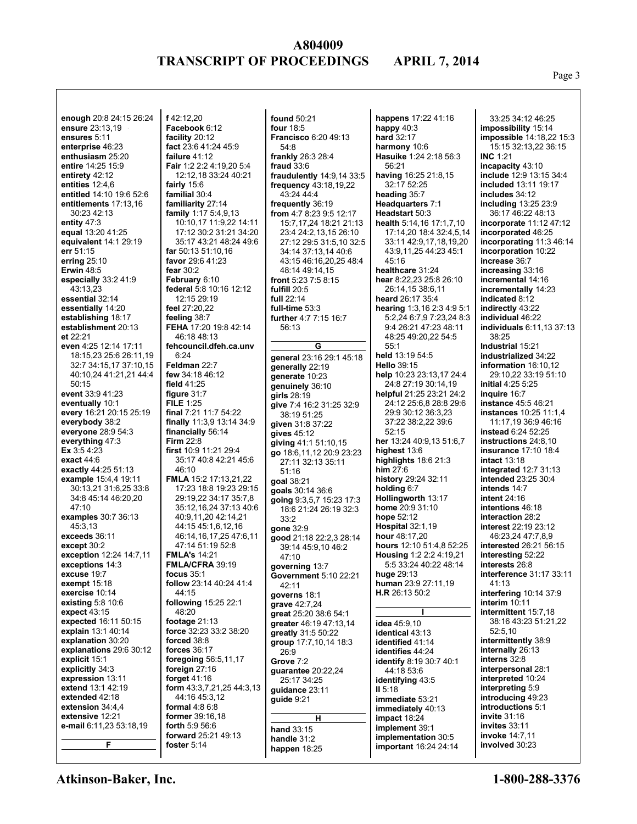Page 3

**enough** 20:8 24:15 26:24 **ensure** 23:13,19 **ensures** 5:11 **enterprise** 46:23 **enthusiasm** 25:20 **entire** 14:25 15:9 **entirety** 42:12 **entities** 12:4,6 **entitled** 14:10 19:6 52:6 **entitlements** 17:13,16 30:23 42:13 **entity** 47:3 **equal** 13:20 41:25 **equivalent** 14:1 29:19 **err** 51:15 **erring** 25:10 **Erwin** 48:5 **especially** 33:2 41:9 43:13,23 **essential** 32:14 **essentially** 14:20 **establishing** 18:17 **establishment** 20:13 **et** 22:21 **even** 4:25 12:14 17:11 18:15,23 25:6 26:11,19 32:7 34:15,17 37:10,15 40:10,24 41:21,21 44:4 50:15 **event** 33:9 41:23 **eventually** 10:1 **every** 16:21 20:15 25:19 **everybody** 38:2 **everyone** 28:9 54:3 **everything** 47:3 **Ex** 3:5 4:23 **exact** 44:6 **exactly** 44:25 51:13 **example** 15:4,4 19:11 30:13,21 31:6,25 33:8 34:8 45:14 46:20,20  $47:10$ **examples** 30:7 36:13 45:3,13 **exceeds** 36:11 **except** 30:2 **exception** 12:24 14:7,11 **exceptions** 14:3 **excuse** 19:7 **exempt** 15:18 **exercise** 10:14 **existing** 5:8 10:6 **expect** 43:15 **expected** 16:11 50:15 **explain** 13:1 40:14 **explanation** 30:20 **explanations** 29:6 30:12 **explicit** 15:1 **explicitly** 34:3 **expression** 13:11 **extend** 13:1 42:19 **extended** 42:18 **extension** 34:4,4 **extensive** 12:21 **e-mail** 6:11,23 53:18,19 **F**

**f** 42:12,20 **Facebook** 6:12 **facility** 20:12 **fact** 23:6 41:24 45:9 **failure** 41:12 **Fair** 1:2 2:2 4:19,20 5:4 12:12,18 33:24 40:21 **fairly** 15:6 **familial** 30:4 **familiarity** 27:14 **family** 1:17 5:4,9,13 10:10,17 11:9,22 14:11 17:12 30:2 31:21 34:20 35:17 43:21 48:24 49:6 **far** 50:13 51:10,16 **favor** 29:6 41:23 **fear** 30:2 **February** 6:10 **federal** 5:8 10:16 12:12 12:15 29:19 **feel** 27:20,22 **feeling** 38:7 **FEHA** 17:20 19:8 42:14 46:18 48:13 **fehcouncil.dfeh.ca.unv**  $6.24$ **Feldman** 22:7 **few** 34:18 46:12 **field** 41:25 **figure** 31:7 **FILE** 1:25 **final** 7:21 11:7 54:22 **finally** 11:3,9 13:14 34:9 **financially** 56:14 **Firm** 22:8 **first** 10:9 11:21 29:4 35:17 40:8 42:21 45:6 46:10 **FMLA** 15:2 17:13,21,22 17:23 18:8 19:23 29:15 29:19,22 34:17 35:7,8 35:12,16,24 37:13 40:6 40:9,11,20 42:14,21 44:15 45:1,6,12,16 46:14,16,17,25 47:6,11 47:14 51:19 52:8 **FMLA's** 14:21 **FMLA/CFRA** 39:19 **focus** 35:1 **follow** 23:14 40:24 41:4 44:15 **following** 15:25 22:1 48:20 **footage** 21:13 **force** 32:23 33:2 38:20 **forced** 38:8 **forces** 36:17 **foregoing** 56:5,11,17 **foreign** 27:16 **forget** 41:16 **form** 43:3,7,21,25 44:3,13 44:16 45:3,12 **formal** 4:8 6:8 **former** 39:16,18 **forth** 5:9 56:6 **forward** 25:21 49:13 **foster** 5:14

**found** 50:21 **four** 18:5 **Francisco** 6:20 49:13 54:8 **frankly** 26:3 28:4 **fraud** 33:6 **fraudulently** 14:9,14 33:5 **frequency** 43:18,19,22 43:24 44:4 **frequently** 36:19 **from** 4:7 8:23 9:5 12:17 15:7,17,24 18:21 21:13 23:4 24:2,13,15 26:10 27:12 29:5 31:5,10 32:5 34:14 37:13,14 40:6 43:15 46:16,20,25 48:4 48:14 49:14,15 **front** 5:23 7:5 8:15 **fulfill** 20:5 **full** 22:14 **full-time** 53:3 **further** 4:7 7:15 16:7 56:13 **G general** 23:16 29:1 45:18 **generally** 22:19 **generate** 10:23 **genuinely** 36:10 **girls** 28:19 **give** 7:4 16:2 31:25 32:9 38:19 51:25 **given** 31:8 37:22 **gives** 45:12 **giving** 41:1 51:10,15 **go** 18:6,11,12 20:9 23:23 27:11 32:13 35:11 51:16 **goal** 38:21 **goals** 30:14 36:6 **going** 9:3,5,7 15:23 17:3 18:6 21:24 26:19 32:3 33:2 **gone** 32:9 **good** 21:18 22:2,3 28:14 39:14 45:9,10 46:2 47:10 **governing** 13:7 **Government** 5:10 22:21 42:11 **governs** 18:1 **grave** 42:7,24 **great** 25:20 38:6 54:1 **greater** 46:19 47:13,14 **greatly** 31:5 50:22 **group** 17:7,10,14 18:3 26:9 **Grove** 7:2 **guarantee** 20:22,24 25:17 34:25 **guidance** 23:11 **guide** 9:21 **H hand** 33:15 **handle** 31:2 **happen** 18:25 **implementation** 30:5 **important** 16:24 24:14

**happens** 17:22 41:16 **happy** 40:3 **hard** 32:17 **harmony** 10:6 **Hasuike** 1:24 2:18 56:3 56:21 **having** 16:25 21:8,15 32:17 52:25 **heading** 35:7 **Headquarters** 7:1 **Headstart** 50:3 **health** 5:14,16 17:1,7,10 17:14,20 18:4 32:4,5,14 33:11 42:9,17,18,19,20 43:9,11,25 44:23 45:1  $45.16$ **healthcare** 31:24 **hear** 8:22,23 25:8 26:10 26:14,15 38:6,11 **heard** 26:17 35:4 **hearing** 1:3,16 2:3 4:9 5:1 5:2,24 6:7,9 7:23,24 8:3 9:4 26:21 47:23 48:11 48:25 49:20,22 54:5 55:1 **held** 13:19 54:5 **Hello** 39:15 **help** 10:23 23:13,17 24:4 24:8 27:19 30:14,19 **helpful** 21:25 23:21 24:2 24:12 25:6,8 28:8 29:6 29:9 30:12 36:3,23 37:22 38:2,22 39:6 52:15 **her** 13:24 40:9,13 51:6,7 **highest** 13:6 **highlights** 18:6 21:3 **him** 27:6 **history** 29:24 32:11 **holding** 6:7 **Hollingworth** 13:17 **home** 20:9 31:10 **hope** 52:12 **Hospital** 32:1,19 **hour** 48:17,20 **hours** 12:10 51:4,8 52:25 **Housing** 1:2 2:2 4:19,21 5:5 33:24 40:22 48:14 **huge** 29:13 **human** 23:9 27:11,19 **H.R** 26:13 50:2 **I idea** 45:9,10 **identical** 43:13 **identified** 41:14 **identifies** 44:24 **identify** 8:19 30:7 40:1 44:18 53:6 **identifying** 43:5 **II** 5:18 **immediate** 53:21 **immediately** 40:13 **impact** 18:24 **implement** 39:1

33:25 34:12 46:25 **impossibility** 15:14 **impossible** 14:18,22 15:3 15:15 32:13,22 36:15 **INC** 1:21 **incapacity** 43:10 **include** 12:9 13:15 34:4 **included** 13:11 19:17 **includes** 34:12 **including** 13:25 23:9 36:17 46:22 48:13 **incorporate** 11:12 47:12 **incorporated** 46:25 **incorporating** 11:3 46:14 **incorporation** 10:22 **increase** 36:7 **increasing** 33:16 **incremental** 14:16 **incrementally** 14:23 **indicated** 8:12 **indirectly** 43:22 **individual** 46:22 **individuals** 6:11,13 37:13 38:25 **Industrial** 15:21 **industrialized** 34:22 **information** 16:10,12 29:10,22 33:19 51:10 **initial** 4:25 5:25 **inquire** 16:7 **instance** 45:5 46:21 **instances** 10:25 11:1,4 11:17,19 36:9 46:16 **instead** 6:24 52:25 **instructions** 24:8,10 **insurance** 17:10 18:4 **intact** 13:18 **integrated** 12:7 31:13 **intended** 23:25 30:4 **intends** 14:7 **intent** 24:16 **intentions** 46:18 **interaction** 28:2 **interest** 22:19 23:12 46:23,24 47:7,8,9 **interested** 26:21 56:15 **interesting** 52:22 **interests** 26:8 **interference** 31:17 33:11 41:13 **interfering** 10:14 37:9 **interim** 10:11 **intermittent** 15:7,18 38:16 43:23 51:21,22 52:5,10 **intermittently** 38:9 **internally** 26:13 **interns** 32:8 **interpersonal** 28:1 **interpreted** 10:24 **interpreting** 5:9 **introducing** 49:23 **introductions** 5:1 **invite** 31:16 **invites** 33:11 **invoke** 14:7,11 **involved** 30:23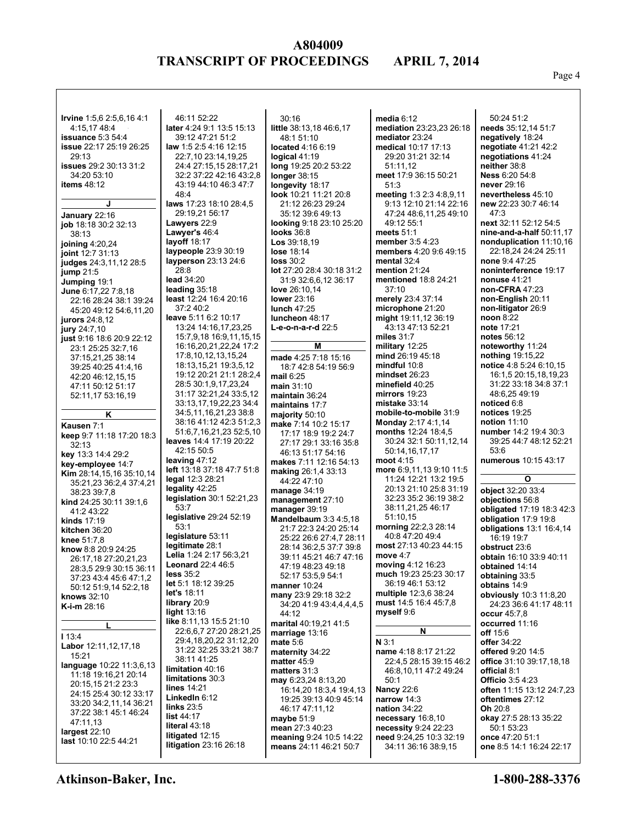#### Page 4

| <b>Irvine</b> 1:5,6 2:5,6,16 4:1             | 46:11 52:22                                      | 30:16                                    | media $6:12$                              | 50:24 51:2                         |
|----------------------------------------------|--------------------------------------------------|------------------------------------------|-------------------------------------------|------------------------------------|
| 4:15,17 48:4                                 | later 4:24 9:1 13:5 15:13                        | little 38:13,18 46:6,17                  | mediation 23:23,23 26:18                  | needs 35:12,14 51:7                |
| issuance $5:354:4$                           | 39:12 47:21 51:2                                 | 48:1 51:10                               | mediator 23:24                            | negatively 18:24                   |
| <b>issue</b> 22:17 25:19 26:25               | law 1:5 2:5 4:16 12:15                           | located 4:16 6:19                        | medical 10:17 17:13                       | negotiate 41:21 42:2               |
| 29:13                                        | 22:7,10 23:14,19,25                              | logical $41:19$                          | 29:20 31:21 32:14                         | negotiations 41:24                 |
| <b>issues</b> 29:2 30:13 31:2                | 24:4 27:15,15 28:17,21                           | long 19:25 20:2 53:22                    | 51:11,12                                  | neither 38:8                       |
| 34:20 53:10                                  | 32:2 37:22 42:16 43:2,8                          | longer $38:15$                           | meet 17:9 36:15 50:21                     | <b>Ness <math>6:20.54:8</math></b> |
| items $48:12$                                | 43:19 44:10 46:3 47:7                            | longevity 18:17                          | 51:3                                      | never 29:16                        |
|                                              | 48:4                                             | look 10:21 11:21 20:8                    | meeting 1:3 2:3 4:8,9,11                  | nevertheless 45:10                 |
| J                                            | laws 17:23 18:10 28:4,5                          | 21:12 26:23 29:24                        | 9:13 12:10 21:14 22:16                    | new 22:23 30:7 46:14               |
| January 22:16                                | 29:19,21 56:17                                   | 35:12 39:6 49:13                         | 47:24 48:6,11,25 49:10                    | 47:3                               |
| job 18:18 30:2 32:13                         | Lawyers 22:9                                     | looking 9:18 23:10 25:20                 | 49:12 55:1                                | next 32:11 52:12 54:5              |
| 38:13                                        | Lawyer's 46:4                                    | <b>looks</b> 36:8                        | meets $51:1$                              | nine-and-a-half 50:11,17           |
| joining $4:20,24$                            | layoff $18:17$                                   | Los 39:18.19                             | member 3:5 4:23                           | nonduplication 11:10,16            |
| ioint 12:7 31:13                             | laypeople 23:9 30:19                             | lose 18:14                               | members 4:20 9:6 49:15                    | 22:18.24 24:24 25:11               |
| judges 24:3,11,12 28:5                       | layperson 23:13 24:6                             | <b>loss 30:2</b>                         | mental 32:4                               | none 9:4 47:25                     |
| jump $21:5$                                  | 28:8                                             | lot 27:20 28:4 30:18 31:2                | mention $21:24$                           | noninterference 19:17              |
| Jumping 19:1                                 | lead 34:20                                       | 31:9 32:6,6,12 36:17                     | mentioned 18:8 24:21                      | nonuse $41:21$                     |
| June 6:17,22 7:8,18                          | leading $35:18$                                  | love 26:10,14                            | 37:10                                     | non-CFRA 47:23                     |
| 22:16 28:24 38:1 39:24                       | least 12:24 16:4 20:16                           | lower 23:16                              | merely 23:4 37:14                         | non-English 20:11                  |
| 45:20 49:12 54:6,11,20                       | 37:240:2                                         | lunch 47:25                              | microphone 21:20                          | non-litigator 26:9                 |
| jurors 24:8,12                               | leave 5:11 6:2 10:17                             | luncheon 48:17                           | might 19:11,12 36:19                      | noon 8:22                          |
| jury 24:7,10                                 | 13:24 14:16,17,23,25                             | <b>L-e-o-n-a-r-d</b> 22:5                | 43:13 47:13 52:21                         | note 17:21                         |
| just 9:16 18:6 20:9 22:12                    | 15:7.9.18 16:9.11.15.15                          |                                          | miles $31:7$                              | notes 56:12                        |
| 23:1 25:25 32:7,16                           | 16:16,20,21,22,24 17:2                           | Μ                                        | military 12:25                            | noteworthy 11:24                   |
| 37:15,21,25 38:14                            | 17:8,10,12,13,15,24                              | made 4:25 7:18 15:16                     | mind 26:19 45:18                          | nothing 19:15,22                   |
| 39:25 40:25 41:4,16                          | 18:13,15,21 19:3,5,12                            | 18:7 42:8 54:19 56:9                     | mindful 10:8                              | notice 4:8 5:24 6:10,15            |
| 42:20 46:12,15,15                            | 19:12 20:21 21:1 28:2,4                          | mail $6:25$                              | mindset 26:23                             | 16:1,5 20:15,18,19,23              |
| 47:11 50:12 51:17                            | 28:5 30:1,9,17,23,24                             | main $31:10$                             | minefield 40:25<br>mirrors $19:23$        | 31:22 33:18 34:8 37:1              |
| 52:11,17 53:16,19                            | 31:17 32:21,24 33:5,12<br>33:13,17,19,22,23 34:4 | maintain 36:24                           | mistake $33:14$                           | 48:6,25 49:19<br>noticed 6:8       |
|                                              | 34:5,11,16,21,23 38:8                            | maintains 17:7                           | mobile-to-mobile 31:9                     | notices 19:25                      |
| Κ                                            | 38:16 41:12 42:3 51:2,3                          | majority $50:10$<br>make 7:14 10:2 15:17 | <b>Monday 2:17 4:1,14</b>                 | notion $11:10$                     |
| Kausen 7:1                                   | 51:6,7,16,21,23 52:5,10                          | 17:17 18:9 19:2 24:7                     | months 12:24 18:4,5                       | number 14:2 19:4 30:3              |
| keep 9:7 11:18 17:20 18:3                    | leaves 14:4 17:19 20:22                          | 27:17 29:1 33:16 35:8                    | 30:24 32:1 50:11,12,14                    | 39:25 44:7 48:12 52:21             |
| 32:13                                        | 42:15 50:5                                       | 46:13 51:17 54:16                        | 50:14,16,17,17                            | 53:6                               |
| key 13:3 14:4 29:2                           | leaving $47:12$                                  | makes 7:11 12:16 54:13                   | moot $4:15$                               | numerous 10:15 43:17               |
| key-employee 14:7                            | left 13:18 37:18 47:7 51:8                       | making 26:1,4 33:13                      | more 6:9,11,13 9:10 11:5                  |                                    |
| <b>Kim</b> $28:14,15,16$ $35:10,14$          | legal 12:3 28:21                                 | 44:22 47:10                              | 11:24 12:21 13:2 19:5                     | O                                  |
| 35:21,23 36:2,4 37:4,21<br>38:23 39:7,8      | legality 42:25                                   | manage $34:19$                           | 20:13 21:10 25:8 31:19                    | object 32:20 33:4                  |
| <b>kind</b> $24:2530:1139:16$                | legislation 30:1 52:21,23                        | management 27:10                         | 32:23 35:2 36:19 38:2                     | objections 56:8                    |
| 41:2 43:22                                   | 53:7                                             | manager 39:19                            | 38:11,21,25 46:17                         | obligated 17:19 18:3 42:3          |
| kinds $17:19$                                | legislative 29:24 52:19                          | Mandelbaum 3:3 4:5,18                    | 51:10,15                                  | obligation 17:9 19:8               |
| kitchen 36:20                                | 53:1                                             | 21:7 22:3 24:20 25:14                    | morning 22:2,3 28:14                      | obligations 13:1 16:4,14           |
| <b>knee</b> $51:7,8$                         | legislature 53:11                                | 25:22 26:6 27:4.7 28:11                  | 40:8 47:20 49:4                           | 16:19 19:7                         |
| know 8:8 20:9 24:25                          | legitimate 28:1                                  | 28:14 36:2,5 37:7 39:8                   | most 27:13 40:23 44:15                    | obstruct 23:6                      |
| 26:17,18 27:20,21,23                         | <b>Lelia</b> 1:24 2:17 56:3,21                   | 39:11 45:21 46:7 47:16                   | move 4:7                                  | obtain 16:10 33:9 40:11            |
| 28:3,5 29:9 30:15 36:11                      | <b>Leonard 22:4 46:5</b>                         | 47:19 48:23 49:18                        | moving 4:12 16:23                         | obtained 14:14                     |
| 37:23 43:4 45:6 47:1,2                       | less 35:2                                        | 52:17 53:5,9 54:1                        | much 19:23 25:23 30:17                    | obtaining 33:5                     |
| 50:12 51:9,14 52:2,18                        | let 5:1 18:12 39:25<br>let's $18:11$             | manner 10:24                             | 36:19 46:1 53:12<br>multiple 12:3,6 38:24 | obtains 14:9                       |
| knows 32:10                                  | library 20:9                                     | many 23:9 29:18 32:2                     | must 14:5 16:4 45:7,8                     | obviously 10:3 11:8,20             |
| K-i-m 28:16                                  | light $13:16$                                    | 34:20 41:9 43:4,4,4,4,5<br>44:12         | myself 9:6                                | 24:23 36:6 41:17 48:11             |
|                                              | like 8:11,13 15:5 21:10                          | marital 40:19,21 41:5                    |                                           | occur 45:7,8<br>occurred 11:16     |
| L                                            | 22:6.6.7 27:20 28:21.25                          | marriage $13:16$                         | N                                         | off 15:6                           |
| <b>113:4</b>                                 | 29:4,18,20,22 31:12,20                           | mate $5:6$                               | $N$ 3:1                                   | offer 34:22                        |
| Labor 12:11,12,17,18                         | 31:22 32:25 33:21 38:7                           | maternity 34:22                          | name 4:18 8:17 21:22                      | offered 9:20 14:5                  |
| 15:21                                        | 38:11 41:25                                      | matter $45:9$                            | 22:4,5 28:15 39:15 46:2                   | office 31:10 39:17,18,18           |
| language 10:22 11:3,6,13                     | limitation 40:16                                 | matters 31:3                             | 46:8,10,11 47:2 49:24                     | official 8:1                       |
| 11:18 19:16,21 20:14                         | limitations 30:3                                 | may 6:23,24 8:13,20                      | 50:1                                      | <b>Officio</b> 3:5 4:23            |
| 20:15,15 21:2 23:3<br>24:15 25:4 30:12 33:17 | lines $14:21$                                    | 16:14,20 18:3,4 19:4,13                  | <b>Nancy 22:6</b>                         | often 11:15 13:12 24:7,23          |
| 33:20 34:2,11,14 36:21                       | LinkedIn 6:12                                    | 19:25 39:13 40:9 45:14                   | narrow 14:3                               | oftentimes 27:12                   |
| 37:22 38:1 45:1 46:24                        | links $23:5$                                     | 46:17 47:11,12                           | nation $34:22$                            | <b>Oh</b> 20:8                     |
| 47:11,13                                     | list 44:17                                       | maybe $51:9$                             | necessary 16:8,10                         | okay 27:5 28:13 35:22              |
| largest $22:10$                              | literal 43:18                                    | mean 27:3 40:23                          | necessity 9:24 22:23                      | 50:1 53:23                         |
| last 10:10 22:5 44:21                        | litigated $12:15$                                | meaning 9:24 10:5 14:22                  | need 9:24,25 10:3 32:19                   | once 47:20 51:1                    |
|                                              |                                                  |                                          |                                           |                                    |
|                                              | litigation $23:1626:18$                          | means 24:11 46:21 50:7                   | 34:11 36:16 38:9,15                       | one 8:5 14:1 16:24 22:17           |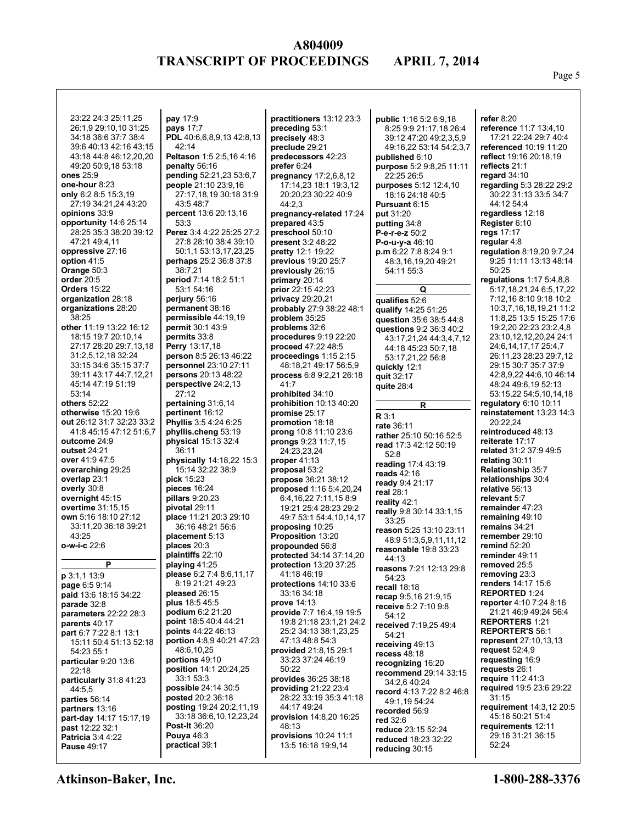Page 5

| 23:22 24:3 25:11,25<br>26:1,9 29:10,10 31:25<br>34:18 36:6 37:7 38:4 | pay 17:9<br>pays 17:7<br>PDL 40:6,6,8,9,13 42:8,13 | practitioners 13:12 23:3<br>preceding 53:1<br>precisely 48:3 | public 1:16 5:2 6:9,18<br>8:25 9:9 21:17,18 26:4<br>39:12 47:20 49:2,3,5,9 | refer $8:20$<br>reference 11:7 13:4,10<br>17:21 22:24 29:7 40:4 |
|----------------------------------------------------------------------|----------------------------------------------------|--------------------------------------------------------------|----------------------------------------------------------------------------|-----------------------------------------------------------------|
| 39:6 40:13 42:16 43:15<br>43:18 44:8 46:12,20,20                     | 42:14<br>Peltason 1:5 2:5,16 4:16                  | preclude 29:21<br>predecessors 42:23                         | 49:16,22 53:14 54:2,3,7<br>published 6:10                                  | referenced 10:19 11:20<br>reflect 19:16 20:18,19                |
| 49:20 50:9,18 53:18<br>ones 25:9                                     | penalty 56:16<br>pending 52:21,23 53:6,7           | prefer 6:24<br>pregnancy 17:2,6,8,12                         | purpose 5:2 9:8,25 11:11<br>22:25 26:5                                     | reflects 21:1<br>regard $34:10$                                 |
| one-hour 8:23                                                        | people 21:10 23:9,16                               | 17:14,23 18:1 19:3,12                                        | purposes 5:12 12:4,10                                                      | regarding 5:3 28:22 29:2                                        |
| only 6:2 8:5 15:3,19                                                 | 27:17,18,19 30:18 31:9                             | 20:20,23 30:22 40:9                                          | 18:16 24:18 40:5                                                           | 30:22 31:13 33:5 34:7                                           |
| 27:19 34:21,24 43:20<br>opinions 33:9                                | 43:548:7<br>percent 13:6 20:13,16                  | 44:2,3<br>pregnancy-related 17:24                            | Pursuant 6:15<br>put 31:20                                                 | 44:12 54:4<br>regardless 12:18                                  |
| opportunity 14:6 25:14                                               | 53:3                                               | prepared 43:5                                                | putting 34:8                                                               | Register 6:10                                                   |
| 28:25 35:3 38:20 39:12                                               | Perez 3:4 4:22 25:25 27:2                          | preschool 50:10                                              | P-e-r-e-z 50:2                                                             | regs 17:17                                                      |
| 47:21 49:4,11                                                        | 27:8 28:10 38:4 39:10                              | present 3:2 48:22                                            | <b>P-o-u-y-a</b> 46:10                                                     | regular 4:8                                                     |
| oppressive 27:16<br>option 41:5                                      | 50:1,1 53:13,17,23,25<br>perhaps 25:2 36:8 37:8    | pretty 12:1 19:22<br>previous 19:20 25:7                     | p.m 6:22 7:8 8:24 9:1<br>48:3,16,19,20 49:21                               | regulation 8:19,20 9:7,24<br>9:25 11:11 13:13 48:14             |
| Orange 50:3                                                          | 38:7,21                                            | previously 26:15                                             | 54:11 55:3                                                                 | 50:25                                                           |
| order $20:5$                                                         | period 7:14 18:2 51:1                              | primary 20:14                                                |                                                                            | regulations $1:175:4,8,8$                                       |
| <b>Orders 15:22</b>                                                  | 53:1 54:16                                         | prior 22:15 42:23                                            | Q                                                                          | 5:17, 18, 21, 24 6: 5, 17, 22                                   |
| organization 28:18<br>organizations 28:20                            | perjury $56:16$<br>permanent 38:16                 | <b>privacy</b> 29:20,21<br>probably 27:9 38:22 48:1          | qualifies 52:6<br>qualify 14:25 51:25                                      | 7:12,16 8:10 9:18 10:2<br>10:3,7,16,18,19,21 11:2               |
| 38:25                                                                | permissible 44:19,19                               | problem $35:25$                                              | question 35:6 38:5 44:8                                                    | 11:8,25 13:5 15:25 17:6                                         |
| other 11:19 13:22 16:12                                              | permit 30:1 43:9                                   | problems 32:6                                                | questions 9:2 36:3 40:2                                                    | 19:2,20 22:23 23:2,4,8                                          |
| 18:15 19:7 20:10.14<br>27:17 28:20 29:7,13,18                        | permits 33:8<br><b>Perry</b> 13:17,18              | procedures 9:19 22:20<br>proceed 47:22 48:5                  | 43:17.21.24 44:3.4.7.12                                                    | 23:10,12,12,20,24 24:1<br>24:6,14,17,17 25:4,7                  |
| 31:2,5,12,18 32:24                                                   | person 8:5 26:13 46:22                             | proceedings $1:152:15$                                       | 44:18 45:23 50:7,18<br>53:17,21,22 56:8                                    | 26:11,23 28:23 29:7,12                                          |
| 33:15 34:6 35:15 37:7                                                | personnel 23:10 27:11                              | 48:18.21 49:17 56:5.9                                        | quickly 12:1                                                               | 29:15 30:7 35:7 37:9                                            |
| 39:11 43:17 44:7 12.21                                               | persons 20:13 48:22                                | process 6:8 9:2,21 26:18                                     | quit 32:17                                                                 | 42:8,9,22 44:6,10 46:14                                         |
| 45:14 47:19 51:19<br>53:14                                           | perspective 24:2,13<br>27:12                       | 41:7<br>prohibited 34:10                                     | quite $28:4$                                                               | 48:24 49:6,19 52:13<br>53:15,22 54:5,10,14,18                   |
| others 52:22                                                         | pertaining 31:6,14                                 | prohibition 10:13 40:20                                      | R                                                                          | regulatory 6:10 10:11                                           |
| otherwise 15:20 19:6                                                 | pertinent 16:12                                    | promise 25:17                                                | R 3:1                                                                      | reinstatement 13:23 14:3                                        |
| out 26:12 31:7 32:23 33:2<br>41:8 45:15 47:12 51:6,7                 | Phyllis 3:5 4:24 6:25<br>phyllis.cheng 53:19       | promotion 18:18                                              | rate 36:11                                                                 | 20:22,24<br>reintroduced 48:13                                  |
| outcome 24:9                                                         | physical 15:13 32:4                                | prong 10:8 11:10 23:6<br>prongs 9:23 11:7,15                 | rather 25:10 50:16 52:5                                                    | reiterate 17:17                                                 |
| outset 24:21                                                         | 36:11                                              | 24:23,23,24                                                  | read 17:3 42:12 50:19<br>52:8                                              | related 31:2 37:9 49:5                                          |
| over 41:9 47:5                                                       | physically 14:18,22 15:3                           | proper $41:13$                                               | reading 17:4 43:19                                                         | relating 30:11                                                  |
| overarching 29:25<br>overlap 23:1                                    | 15:14 32:22 38:9<br>pick 15:23                     | proposal 53:2<br><b>propose</b> 36:21 38:12                  | reads 42:16                                                                | Relationship 35:7<br>relationships 30:4                         |
| overly 30:8                                                          | pieces $16:24$                                     | proposed 1:16 5:4,20,24                                      | ready 9:4 21:17<br>real 28:1                                               | relative 56:13                                                  |
| overnight 45:15                                                      | pillars $9:20,23$                                  | 6:4, 16, 22 7:11, 15 8:9                                     | reality 42:1                                                               | relevant 5:7                                                    |
| overtime 31:15,15                                                    | pivotal 29:11                                      | 19:21 25:4 28:23 29:2                                        | really 9:8 30:14 33:1,15                                                   | remainder 47:23                                                 |
| own 5:16 18:10 27:12<br>33:11,20 36:18 39:21                         | place 11:21 20:3 29:10<br>36:16 48:21 56:6         | 49:7 53:1 54:4, 10, 14, 17<br>proposing 10:25                | 33:25                                                                      | remaining 49:10<br>remains 34:21                                |
| 43:25                                                                | placement 5:13                                     | <b>Proposition 13:20</b>                                     | reason 5:25 13:10 23:11<br>48:9 51:3,5,9,11,11,12                          | remember 29:10                                                  |
| o-w-i-c 22:6                                                         | places 20:3                                        | propounded 56:8                                              | reasonable 19:8 33:23                                                      | remind 52:20                                                    |
| P                                                                    | plaintiffs 22:10                                   | protected 34:14 37:14,20                                     | 44:13                                                                      | reminder 49:11                                                  |
| p 3:1,1 13:9                                                         | playing 41:25<br>please 6:2 7:4 8:6,11,17          | <b>protection</b> 13:20 37:25<br>41:18 46:19                 | reasons 7:21 12:13 29:8                                                    | removed 25:5<br>removing 23:3                                   |
| page 6:5 9:14                                                        | 8:19 21:21 49:23                                   | protections $14:10$ 33:6                                     | 54:23<br>recall 18:18                                                      | renders 14:17 15:6                                              |
| paid 13:6 18:15 34:22                                                | pleased 26:15                                      | 33:16 34:18                                                  | recap 9:5,16 21:9,15                                                       | <b>REPORTED 1:24</b>                                            |
| parade 32:8                                                          | plus $18:545:5$                                    | prove 14:13                                                  | receive 5:2 7:10 9:8                                                       | reporter 4:10 7:24 8:16                                         |
| parameters 22:22 28:3<br>parents $40:17$                             | <b>podium 6:2 21:20</b><br>point 18:5 40:4 44:21   | provide 7:7 16:4,19 19:5<br>19:8 21:18 23:1,21 24:2          | 54:12                                                                      | 21:21 46:9 49:24 56:4<br><b>REPORTERS 1:21</b>                  |
| part 6:7 7:22 8:1 13:1                                               | points 44:22 46:13                                 | 25:2 34:13 38:1,23,25                                        | received 7:19,25 49:4<br>54:21                                             | <b>REPORTER'S 56:1</b>                                          |
| 15:11 50:4 51:13 52:18                                               | portion 4:8,9 40:21 47:23                          | 47:13 48:8 54:3                                              | receiving 49:13                                                            | <b>represent</b> 27:10,13,13                                    |
| 54:23 55:1<br>particular 9:20 13:6                                   | 48:6,10,25<br>portions 49:10                       | <b>provided</b> 21:8,15 29:1<br>33:23 37:24 46:19            | recess $48:18$                                                             | request $52:4,9$<br>requesting 16:9                             |
| 22:18                                                                | position 14:1 20:24,25                             | 50:22                                                        | recognizing 16:20<br>recommend 29:14 33:15                                 | requests 26:1                                                   |
| particularly 31:8 41:23                                              | 33:153:3                                           | <b>provides</b> 36:25 38:18                                  | 34:2,6 40:24                                                               | require $11:241:3$                                              |
| 44:5,5                                                               | possible 24:14 30:5<br>posted 20:2 36:18           | providing 21:22 23:4<br>28:22 33:19 35:3 41:18               | record 4:13 7:22 8:2 46:8                                                  | required 19:5 23:6 29:22<br>31:15                               |
| parties 56:14<br>partners 13:16                                      | posting 19:24 20:2,11,19                           | 44:17 49:24                                                  | 49:1,19 54:24                                                              | <b>requirement</b> 14:3,12 20:5                                 |
| part-day 14:17 15:17,19                                              | 33:18 36:6,10,12,23,24                             | <b>provision</b> 14:8,20 16:25                               | recorded 56:9<br>red 32:6                                                  | 45:16 50:21 51:4                                                |
| past 12:22 32:1                                                      | <b>Post-It 36:20</b>                               | 48:13                                                        | reduce 23:15 52:24                                                         | requirements 12:11                                              |
| <b>Patricia</b> 3:4 4:22<br><b>Pause 49:17</b>                       | Pouya $46:3$<br>practical 39:1                     | provisions $10:24$ 11:1<br>13:5 16:18 19:9,14                | <b>reduced</b> 18:23 32:22                                                 | 29:16 31:21 36:15<br>52:24                                      |
|                                                                      |                                                    |                                                              | reducing 30:15                                                             |                                                                 |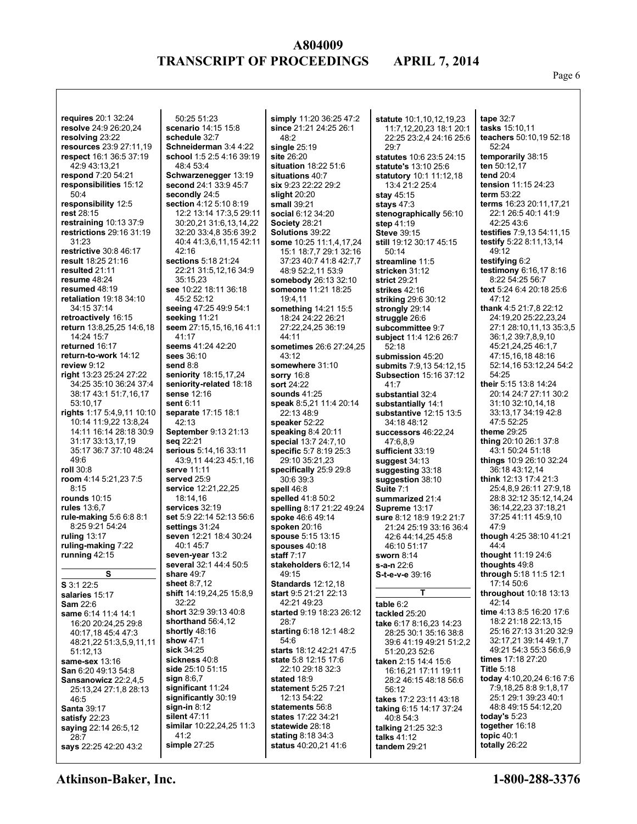Page 6

| requires 20:1 32:24                        |
|--------------------------------------------|
| resolve 24:9 26:20,24                      |
| resolving 23:22                            |
| resources 23:9 27:11,19                    |
| respect 16:1 36:5 37:19                    |
| 42:9 43:13,21                              |
| respond 7:20 54:21                         |
| responsibilities 15:12                     |
| 50:4                                       |
| responsibility 12:5                        |
| rest 28:15                                 |
| restraining 10:13 37:9                     |
| restrictions 29:16 31:19                   |
| 31:23                                      |
| restrictive 30:8 46:17                     |
| result 18:25 21:16                         |
| resulted 21:11                             |
| resume 48:24                               |
| resumed 48:19                              |
| retaliation 19:18 34:10                    |
| 34:15 37:14                                |
| retroactively 16:15                        |
| return 13:8,25,25 14:6,18<br>14:24 15:7    |
| returned 16:17                             |
| return-to-work 14:12                       |
| review 9:12                                |
| right 13:23 25:24 27:22                    |
| 34:25 35:10 36:24 37:4                     |
| 38:17 43:1 51:7,16,17                      |
| 53:10,17                                   |
| rights 1:17 5:4,9,11 10:10                 |
| 10:14 11:9,22 13:8,24                      |
| 14:11 16:14 28:18 30:9                     |
| 31:17 33:13,17,19                          |
| 35:17 36:7 37:10 48:24                     |
| 49:6                                       |
| roll 30:8                                  |
| room 4:14 5:21,23 7:5                      |
| 8:15                                       |
| <b>rounds</b> 10:15                        |
| rules 13:6,7                               |
| rule-making 5:6 6:8 8:1<br>8:25 9:21 54:24 |
| ruling 13:17                               |
| ruling-making 7:22                         |
| running 42:15                              |
|                                            |
| <u>s</u>                                   |
| S 3:1 22:5                                 |
| salaries 15:17                             |
| <b>Sam 22:6</b>                            |
| same 6:14 11:4 14:1                        |
| 16:20 20:24,25 29:8                        |
| 40:17,18 45:4 47:3                         |
| 48:21,22 51:3,5,9,11,11                    |
| 51:12,13                                   |
| same-sex 13:16                             |
| San 6:20 49:13 54:8                        |
| Sansanowicz 22:2,4,5                       |
| 25:13,24 27:1,8 28:13<br>46:5              |
| <b>Santa</b> 39:17                         |
| satisfy 22:23                              |
| saying 22:14 26:5,12                       |
| 28:7                                       |
| says 22:25 42:20 43:2                      |

50:25 51:23 **scenario** 14:15 15:8 **schedule** 32:7 **Schneiderman** 3:4 4:22 **school** 1:5 2:5 4:16 39:19 48:4 53:4 **Schwarzenegger** 13:19 **second** 24:1 33:9 45:7 **secondly** 24:5 **section** 4:12 5:10 8:19 12:2 13:14 17:3,5 29:11 30:20,21 31:6,13,14,22 32:20 33:4,8 35:6 39:2 40:4 41:3,6,11,15 42:11  $42.16$ **sections** 5:18 21:24 22:21 31:5,12,16 34:9 35:15,23 **see** 10:22 18:11 36:18 45:2 52:12 **seeing** 47:25 49:9 54:1 **seeking** 11:21 **seem** 27:15,15,16,16 41:1  $41:17$ **seems** 41:24 42:20 **sees** 36:10 **send** 8:8 **seniority** 18:15,17,24 **seniority-related** 18:18 **sense** 12:16 **sent** 6:11 **separate** 17:15 18:1  $42.13$ **September** 9:13 21:13 **seq** 22:21 **serious** 5:14,16 33:11 43:9,11 44:23 45:1,16 **serve** 11:11 **served** 25:9 **service** 12:21,22,25 18:14,16 **services** 32:19 **set** 5:9 22:14 52:13 56:6 **settings** 31:24 **seven** 12:21 18:4 30:24 40:1 45:7 **seven-year** 13:2 **several** 32:1 44:4 50:5 **share** 49:7 **sheet** 8:7,12 **shift** 14:19,24,25 15:8,9 32:22 **short** 32:9 39:13 40:8 **shorthand** 56:4,12 **shortly** 48:16 **show** 47:1 **sick** 34:25 **sickness** 40:8 **side** 25:10 51:15 **sign** 8:6,7 **significant** 11:24 **significantly** 30:19 **sign-in** 8:12 **silent** 47:11 **similar** 10:22,24,25 11:3 41:2 **simple** 27:25

**simply** 11:20 36:25 47:2 **since** 21:21 24:25 26:1 48:2 **single** 25:19 **site** 26:20 **situation** 18:22 51:6 **situations** 40:7 **six** 9:23 22:22 29:2 **slight** 20:20 **small** 39:21 **social** 6:12 34:20 **Society** 28:21 **Solutions** 39:22 **some** 10:25 11:1,4,17,24 15:1 18:7,7 29:1 32:16 37:23 40:7 41:8 42:7,7 48:9 52:2,11 53:9 **somebody** 26:13 32:10 **someone** 11:21 18:25 19:4,11 **something** 14:21 15:5 18:24 24:22 26:21 27:22,24,25 36:19 44:11 **sometimes** 26:6 27:24,25 43:12 **somewhere** 31:10 **sorry** 16:8 **sort** 24:22 **sounds** 41:25 **speak** 8:5,21 11:4 20:14 22:13 48:9 **speaker** 52:22 **speaking** 8:4 20:11 **special** 13:7 24:7,10 **specific** 5:7 8:19 25:3 29:10 35:21,23 **specifically** 25:9 29:8 30:6 39:3 **spell** 46:8 **spelled** 41:8 50:2 **spelling** 8:17 21:22 49:24 **spoke** 46:6 49:14 **spoken** 20:16 **spouse** 5:15 13:15 **spouses** 40:18 **staff** 7:17 **stakeholders** 6:12,14  $49.15$ **Standards** 12:12,18 **start** 9:5 21:21 22:13 42:21 49:23 **started** 9:19 18:23 26:12 28:7 **starting** 6:18 12:1 48:2 54:6 **starts** 18:12 42:21 47:5 **state** 5:8 12:15 17:6 22:10 29:18 32:3 **stated** 18:9 **statement** 5:25 7:21 12:13 54:22 **statements** 56:8 **states** 17:22 34:21 **statewide** 28:18 **stating** 8:18 34:3 **status** 40:20,21 41:6

**statute** 10:1,10,12,19,23 11:7,12,20,23 18:1 20:1 22:25 23:2,4 24:16 25:6 29:7 **statutes** 10:6 23:5 24:15 **statute's** 13:10 25:6 **statutory** 10:1 11:12,18 13:4 21:2 25:4 **stay** 45:15 **stays** 47:3 **stenographically** 56:10 **step** 41:19 **Steve** 39:15 **still** 19:12 30:17 45:15 50:14 **streamline** 11:5 **stricken** 31:12 **strict** 29:21 **strikes** 42:16 **striking** 29:6 30:12 **strongly** 29:14 **struggle** 26:6 **subcommittee** 9:7 **subject** 11:4 12:6 26:7 52:18 **submission** 45:20 **submits** 7:9,13 54:12,15 **Subsection** 15:16 37:12 41:7 **substantial** 32:4 **substantially** 14:1 **substantive** 12:15 13:5 34:18 48:12 **successors** 46:22,24 47:6,8,9 **sufficient** 33:19 **suggest** 34:13 **suggesting** 33:18 **suggestion** 38:10 **Suite** 7:1 **summarized** 21:4 **Supreme** 13:17 **sure** 8:12 18:9 19:2 21:7 21:24 25:19 33:16 36:4 42:6 44:14,25 45:8 46:10 51:17 **sworn** 8:14 **s-a-n** 22:6 **S-t-e-v-e** 39:16 **T table** 6:2 **tackled** 25:20 **take** 6:17 8:16,23 14:23 28:25 30:1 35:16 38:8 39:6 41:19 49:21 51:2,2 51:20,23 52:6 **taken** 2:15 14:4 15:6 16:16,21 17:11 19:11 28:2 46:15 48:18 56:6 56:12 **takes** 17:2 23:11 43:18 **taking** 6:15 14:17 37:24 40:8 54:3 **talking** 21:25 32:3 **talks** 41:12 **tandem** 29:21

**tape** 32:7 **tasks** 15:10,11 **teachers** 50:10,19 52:18 52:24 **temporarily** 38:15 **ten** 50:12,17 **tend** 20:4 **tension** 11:15 24:23 **term** 53:22 **terms** 16:23 20:11,17,21 22:1 26:5 40:1 41:9 42:25 43:6 **testifies** 7:9,13 54:11,15 **testify** 5:22 8:11,13,14  $49.12$ **testifying** 6:2 **testimony** 6:16,17 8:16 8:22 54:25 56:7 **text** 5:24 6:4 20:18 25:6 47:12 **thank** 4:5 21:7,8 22:12 24:19,20 25:22,23,24 27:1 28:10,11,13 35:3,5 36:1,2 39:7,8,9,10 45:21,24,25 46:1,7 47:15,16,18 48:16 52:14,16 53:12,24 54:2 54:25 **their** 5:15 13:8 14:24 20:14 24:7 27:11 30:2 31:10 32:10,14,18 33:13,17 34:19 42:8 47:5 52:25 **theme** 29:25 **thing** 20:10 26:1 37:8 43:1 50:24 51:18 **things** 10:9 26:10 32:24 36:18 43:12,14 **think** 12:13 17:4 21:3 25:4,8,9 26:11 27:9,18 28:8 32:12 35:12,14,24 36:14,22,23 37:18,21 37:25 41:11 45:9,10 47:9 **though** 4:25 38:10 41:21 44:4 **thought** 11:19 24:6 **thoughts** 49:8 **through** 5:18 11:5 12:1 17:14 50:6 **throughout** 10:18 13:13  $42.14$ **time** 4:13 8:5 16:20 17:6 18:2 21:18 22:13,15 25:16 27:13 31:20 32:9 32:17,21 39:14 49:1,7 49:21 54:3 55:3 56:6,9 **times** 17:18 27:20 **Title** 5:18 **today** 4:10,20,24 6:16 7:6 7:9,18,25 8:8 9:1,8,17 25:1 29:1 39:23 40:1 48:8 49:15 54:12,20 **today's** 5:23 **together** 16:18 **topic** 40:1 **totally** 26:22